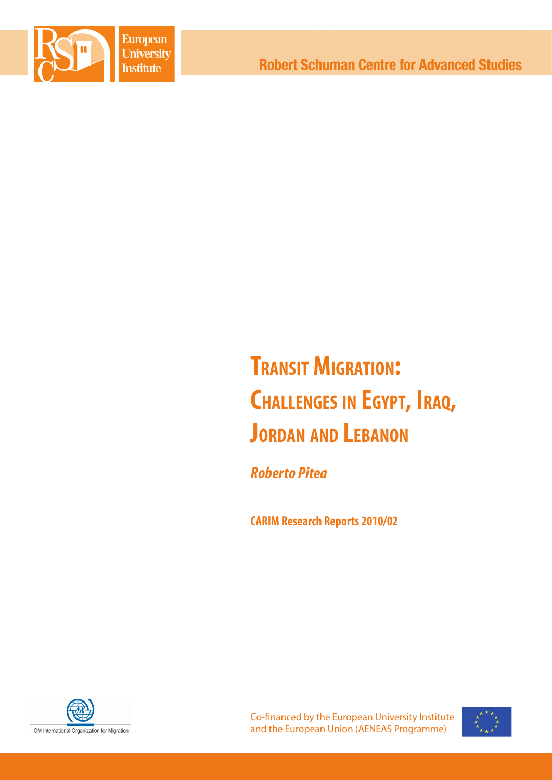

# **Transit Migration: Challenges in Egypt, Iraq, Jordan and Lebanon**

*Roberto Pitea*

**CARIM Research Reports 2010/02**



Co-financed by the European University Institute and the European Union (AENEAS Programme)

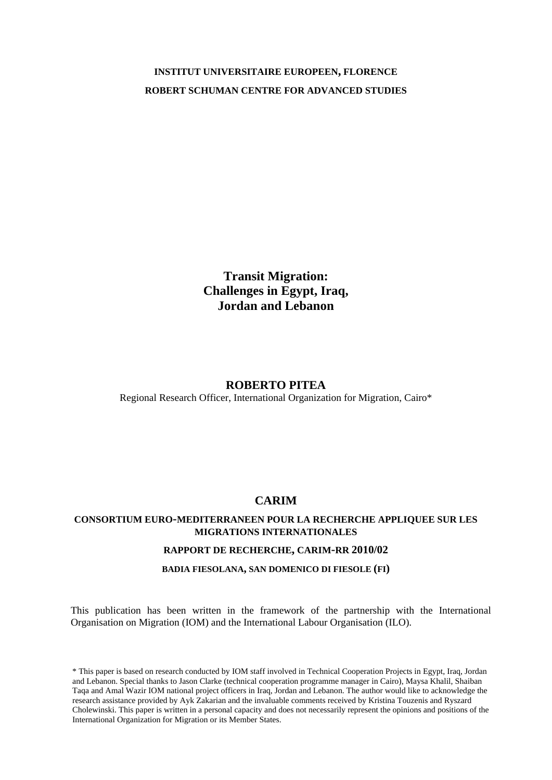# **INSTITUT UNIVERSITAIRE EUROPEEN, FLORENCE ROBERT SCHUMAN CENTRE FOR ADVANCED STUDIES**

**Transit Migration: Challenges in Egypt, Iraq, Jordan and Lebanon**

# **ROBERTO PITEA**

Regional Research Officer, International Organization for Migration, Cairo\*

# **CARIM**

# **CONSORTIUM EURO-MEDITERRANEEN POUR LA RECHERCHE APPLIQUEE SUR LES MIGRATIONS INTERNATIONALES**

### **RAPPORT DE RECHERCHE, CARIM-RR 2010/02**

### **BADIA FIESOLANA, SAN DOMENICO DI FIESOLE (FI)**

This publication has been written in the framework of the partnership with the International Organisation on Migration (IOM) and the International Labour Organisation (ILO).

\* This paper is based on research conducted by IOM staff involved in Technical Cooperation Projects in Egypt, Iraq, Jordan and Lebanon. Special thanks to Jason Clarke (technical cooperation programme manager in Cairo), Maysa Khalil, Shaiban Taqa and Amal Wazir IOM national project officers in Iraq, Jordan and Lebanon. The author would like to acknowledge the research assistance provided by Ayk Zakarian and the invaluable comments received by Kristina Touzenis and Ryszard Cholewinski. This paper is written in a personal capacity and does not necessarily represent the opinions and positions of the International Organization for Migration or its Member States.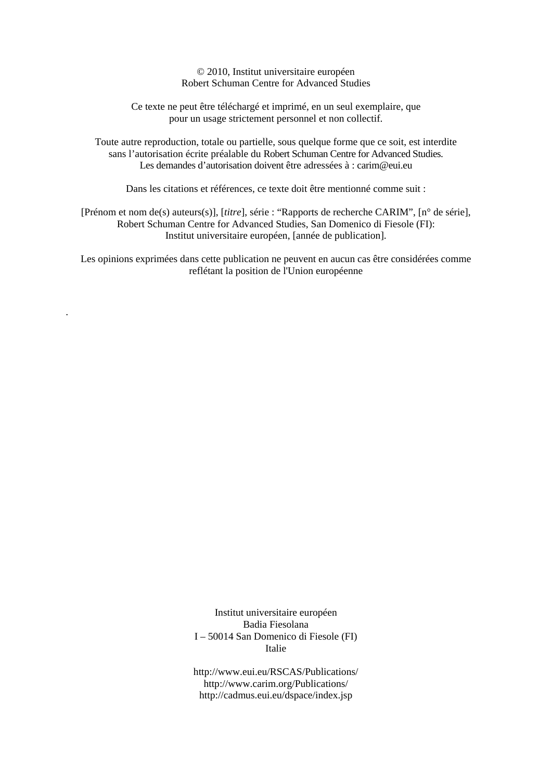© 2010, Institut universitaire européen Robert Schuman Centre for Advanced Studies

Ce texte ne peut être téléchargé et imprimé, en un seul exemplaire, que pour un usage strictement personnel et non collectif.

Toute autre reproduction, totale ou partielle, sous quelque forme que ce soit, est interdite sans l'autorisation écrite préalable du Robert Schuman Centre for Advanced Studies. Les demandes d'autorisation doivent être adressées à : carim@eui.eu

Dans les citations et références, ce texte doit être mentionné comme suit :

[Prénom et nom de(s) auteurs(s)], [*titre*], série : "Rapports de recherche CARIM", [n° de série], Robert Schuman Centre for Advanced Studies, San Domenico di Fiesole (FI): Institut universitaire européen, [année de publication].

Les opinions exprimées dans cette publication ne peuvent en aucun cas être considérées comme reflétant la position de l'Union européenne

.

Institut universitaire européen Badia Fiesolana I – 50014 San Domenico di Fiesole (FI) Italie

http://www.eui.eu/RSCAS/Publications/ http://www.carim.org/Publications/ http://cadmus.eui.eu/dspace/index.jsp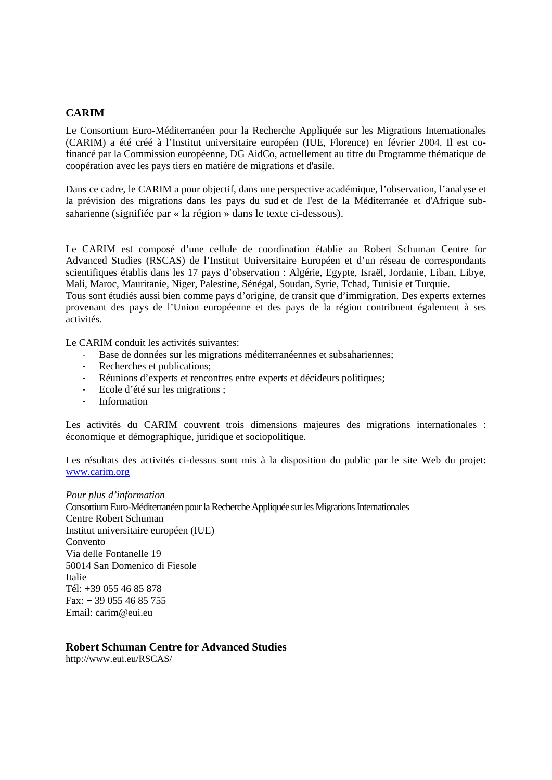# **CARIM**

Le Consortium Euro-Méditerranéen pour la Recherche Appliquée sur les Migrations Internationales (CARIM) a été créé à l'Institut universitaire européen (IUE, Florence) en février 2004. Il est cofinancé par la Commission européenne, DG AidCo, actuellement au titre du Programme thématique de coopération avec les pays tiers en matière de migrations et d'asile.

Dans ce cadre, le CARIM a pour objectif, dans une perspective académique, l'observation, l'analyse et la prévision des migrations dans les pays du sud et de l'est de la Méditerranée et d'Afrique subsaharienne (signifiée par « la région » dans le texte ci-dessous).

Le CARIM est composé d'une cellule de coordination établie au Robert Schuman Centre for Advanced Studies (RSCAS) de l'Institut Universitaire Européen et d'un réseau de correspondants scientifiques établis dans les 17 pays d'observation : Algérie, Egypte, Israël, Jordanie, Liban, Libye, Mali, Maroc, Mauritanie, Niger, Palestine, Sénégal, Soudan, Syrie, Tchad, Tunisie et Turquie.

Tous sont étudiés aussi bien comme pays d'origine, de transit que d'immigration. Des experts externes provenant des pays de l'Union européenne et des pays de la région contribuent également à ses activités.

Le CARIM conduit les activités suivantes:

- Base de données sur les migrations méditerranéennes et subsahariennes;
- Recherches et publications;
- Réunions d'experts et rencontres entre experts et décideurs politiques;
- Ecole d'été sur les migrations ;
- Information

Les activités du CARIM couvrent trois dimensions majeures des migrations internationales : économique et démographique, juridique et sociopolitique.

Les résultats des activités ci-dessus sont mis à la disposition du public par le site Web du projet: www.carim.org

### *Pour plus d'information*

Consortium Euro-Méditerranéen pour la Recherche Appliquée sur les Migrations Internationales Centre Robert Schuman Institut universitaire européen (IUE) Convento Via delle Fontanelle 19 50014 San Domenico di Fiesole Italie Tél: +39 055 46 85 878 Fax:  $+390554685755$ Email: carim@eui.eu

# **Robert Schuman Centre for Advanced Studies**

http://www.eui.eu/RSCAS/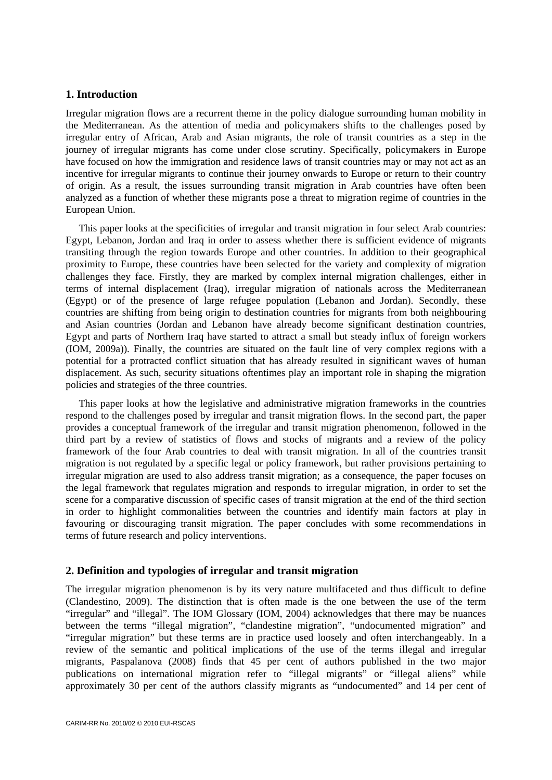# **1. Introduction**

Irregular migration flows are a recurrent theme in the policy dialogue surrounding human mobility in the Mediterranean. As the attention of media and policymakers shifts to the challenges posed by irregular entry of African, Arab and Asian migrants, the role of transit countries as a step in the journey of irregular migrants has come under close scrutiny. Specifically, policymakers in Europe have focused on how the immigration and residence laws of transit countries may or may not act as an incentive for irregular migrants to continue their journey onwards to Europe or return to their country of origin. As a result, the issues surrounding transit migration in Arab countries have often been analyzed as a function of whether these migrants pose a threat to migration regime of countries in the European Union.

This paper looks at the specificities of irregular and transit migration in four select Arab countries: Egypt, Lebanon, Jordan and Iraq in order to assess whether there is sufficient evidence of migrants transiting through the region towards Europe and other countries. In addition to their geographical proximity to Europe, these countries have been selected for the variety and complexity of migration challenges they face. Firstly, they are marked by complex internal migration challenges, either in terms of internal displacement (Iraq), irregular migration of nationals across the Mediterranean (Egypt) or of the presence of large refugee population (Lebanon and Jordan). Secondly, these countries are shifting from being origin to destination countries for migrants from both neighbouring and Asian countries (Jordan and Lebanon have already become significant destination countries, Egypt and parts of Northern Iraq have started to attract a small but steady influx of foreign workers (IOM, 2009a)). Finally, the countries are situated on the fault line of very complex regions with a potential for a protracted conflict situation that has already resulted in significant waves of human displacement. As such, security situations oftentimes play an important role in shaping the migration policies and strategies of the three countries.

This paper looks at how the legislative and administrative migration frameworks in the countries respond to the challenges posed by irregular and transit migration flows. In the second part, the paper provides a conceptual framework of the irregular and transit migration phenomenon, followed in the third part by a review of statistics of flows and stocks of migrants and a review of the policy framework of the four Arab countries to deal with transit migration. In all of the countries transit migration is not regulated by a specific legal or policy framework, but rather provisions pertaining to irregular migration are used to also address transit migration; as a consequence, the paper focuses on the legal framework that regulates migration and responds to irregular migration, in order to set the scene for a comparative discussion of specific cases of transit migration at the end of the third section in order to highlight commonalities between the countries and identify main factors at play in favouring or discouraging transit migration. The paper concludes with some recommendations in terms of future research and policy interventions.

# **2. Definition and typologies of irregular and transit migration**

The irregular migration phenomenon is by its very nature multifaceted and thus difficult to define (Clandestino, 2009). The distinction that is often made is the one between the use of the term "irregular" and "illegal". The IOM Glossary (IOM, 2004) acknowledges that there may be nuances between the terms "illegal migration", "clandestine migration", "undocumented migration" and "irregular migration" but these terms are in practice used loosely and often interchangeably. In a review of the semantic and political implications of the use of the terms illegal and irregular migrants, Paspalanova (2008) finds that 45 per cent of authors published in the two major publications on international migration refer to "illegal migrants" or "illegal aliens" while approximately 30 per cent of the authors classify migrants as "undocumented" and 14 per cent of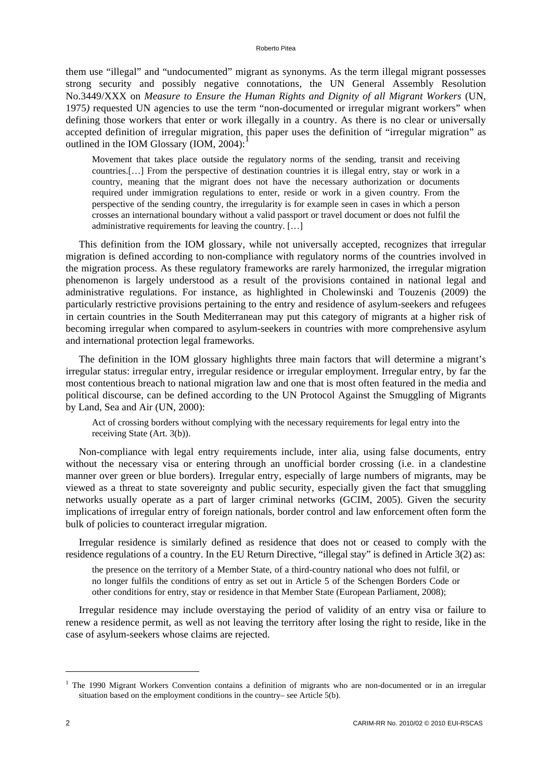them use "illegal" and "undocumented" migrant as synonyms. As the term illegal migrant possesses strong security and possibly negative connotations, the UN General Assembly Resolution No.3449/XXX on *Measure to Ensure the Human Rights and Dignity of all Migrant Workers* (UN, 1975*)* requested UN agencies to use the term "non-documented or irregular migrant workers" when defining those workers that enter or work illegally in a country. As there is no clear or universally accepted definition of irregular migration, this paper uses the definition of "irregular migration" as outlined in the IOM Glossary (IOM, 2004):

Movement that takes place outside the regulatory norms of the sending, transit and receiving countries.[…] From the perspective of destination countries it is illegal entry, stay or work in a country, meaning that the migrant does not have the necessary authorization or documents required under immigration regulations to enter, reside or work in a given country. From the perspective of the sending country, the irregularity is for example seen in cases in which a person crosses an international boundary without a valid passport or travel document or does not fulfil the administrative requirements for leaving the country. […]

This definition from the IOM glossary, while not universally accepted, recognizes that irregular migration is defined according to non-compliance with regulatory norms of the countries involved in the migration process. As these regulatory frameworks are rarely harmonized, the irregular migration phenomenon is largely understood as a result of the provisions contained in national legal and administrative regulations. For instance, as highlighted in Cholewinski and Touzenis (2009) the particularly restrictive provisions pertaining to the entry and residence of asylum-seekers and refugees in certain countries in the South Mediterranean may put this category of migrants at a higher risk of becoming irregular when compared to asylum-seekers in countries with more comprehensive asylum and international protection legal frameworks.

The definition in the IOM glossary highlights three main factors that will determine a migrant's irregular status: irregular entry, irregular residence or irregular employment. Irregular entry, by far the most contentious breach to national migration law and one that is most often featured in the media and political discourse, can be defined according to the UN Protocol Against the Smuggling of Migrants by Land, Sea and Air (UN, 2000):

Act of crossing borders without complying with the necessary requirements for legal entry into the receiving State (Art. 3(b)).

Non-compliance with legal entry requirements include, inter alia, using false documents, entry without the necessary visa or entering through an unofficial border crossing (i.e. in a clandestine manner over green or blue borders). Irregular entry, especially of large numbers of migrants, may be viewed as a threat to state sovereignty and public security, especially given the fact that smuggling networks usually operate as a part of larger criminal networks (GCIM, 2005). Given the security implications of irregular entry of foreign nationals, border control and law enforcement often form the bulk of policies to counteract irregular migration.

Irregular residence is similarly defined as residence that does not or ceased to comply with the residence regulations of a country. In the EU Return Directive, "illegal stay" is defined in Article 3(2) as:

the presence on the territory of a Member State, of a third-country national who does not fulfil, or no longer fulfils the conditions of entry as set out in Article 5 of the Schengen Borders Code or other conditions for entry, stay or residence in that Member State (European Parliament, 2008);

Irregular residence may include overstaying the period of validity of an entry visa or failure to renew a residence permit, as well as not leaving the territory after losing the right to reside, like in the case of asylum-seekers whose claims are rejected.

1

<sup>&</sup>lt;sup>1</sup> The 1990 Migrant Workers Convention contains a definition of migrants who are non-documented or in an irregular situation based on the employment conditions in the country– see Article 5(b).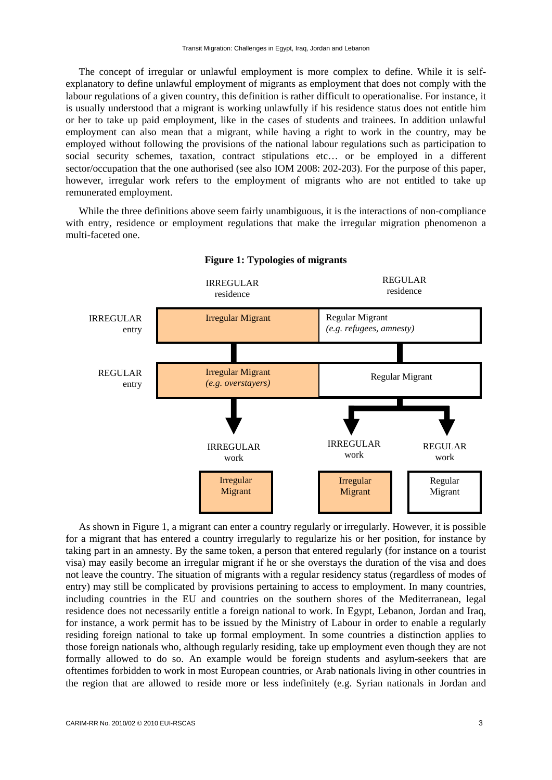The concept of irregular or unlawful employment is more complex to define. While it is selfexplanatory to define unlawful employment of migrants as employment that does not comply with the labour regulations of a given country, this definition is rather difficult to operationalise. For instance, it is usually understood that a migrant is working unlawfully if his residence status does not entitle him or her to take up paid employment, like in the cases of students and trainees. In addition unlawful employment can also mean that a migrant, while having a right to work in the country, may be employed without following the provisions of the national labour regulations such as participation to social security schemes, taxation, contract stipulations etc… or be employed in a different sector/occupation that the one authorised (see also IOM 2008: 202-203). For the purpose of this paper, however, irregular work refers to the employment of migrants who are not entitled to take up remunerated employment.

While the three definitions above seem fairly unambiguous, it is the interactions of non-compliance with entry, residence or employment regulations that make the irregular migration phenomenon a multi-faceted one.



### **Figure 1: Typologies of migrants**

As shown in Figure 1, a migrant can enter a country regularly or irregularly. However, it is possible for a migrant that has entered a country irregularly to regularize his or her position, for instance by taking part in an amnesty. By the same token, a person that entered regularly (for instance on a tourist visa) may easily become an irregular migrant if he or she overstays the duration of the visa and does not leave the country. The situation of migrants with a regular residency status (regardless of modes of entry) may still be complicated by provisions pertaining to access to employment. In many countries, including countries in the EU and countries on the southern shores of the Mediterranean, legal residence does not necessarily entitle a foreign national to work. In Egypt, Lebanon, Jordan and Iraq, for instance, a work permit has to be issued by the Ministry of Labour in order to enable a regularly residing foreign national to take up formal employment. In some countries a distinction applies to those foreign nationals who, although regularly residing, take up employment even though they are not formally allowed to do so. An example would be foreign students and asylum-seekers that are oftentimes forbidden to work in most European countries, or Arab nationals living in other countries in the region that are allowed to reside more or less indefinitely (e.g. Syrian nationals in Jordan and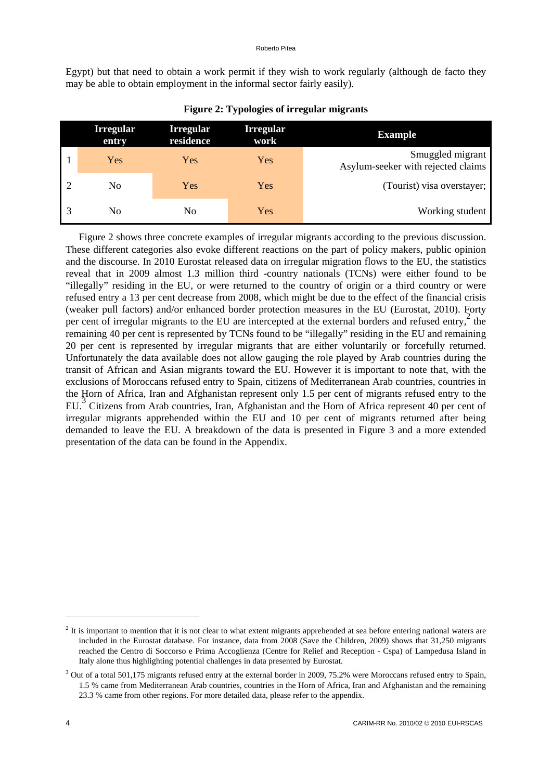#### Roberto Pitea

Egypt) but that need to obtain a work permit if they wish to work regularly (although de facto they may be able to obtain employment in the informal sector fairly easily).

| <b>Example</b>                                         | <b>Irregular</b><br>work | <b>Irregular</b><br>residence | <b>Irregular</b><br>entry |  |
|--------------------------------------------------------|--------------------------|-------------------------------|---------------------------|--|
| Smuggled migrant<br>Asylum-seeker with rejected claims | Yes                      | Yes                           | Yes                       |  |
| (Tourist) visa overstayer;                             | Yes                      | Yes                           | N <sub>0</sub>            |  |
| Working student                                        | Yes                      | N <sub>0</sub>                | No                        |  |

| <b>Figure 2: Typologies of irregular migrants</b> |  |  |  |
|---------------------------------------------------|--|--|--|
|---------------------------------------------------|--|--|--|

Figure 2 shows three concrete examples of irregular migrants according to the previous discussion. These different categories also evoke different reactions on the part of policy makers, public opinion and the discourse. In 2010 Eurostat released data on irregular migration flows to the EU, the statistics reveal that in 2009 almost 1.3 million third -country nationals (TCNs) were either found to be "illegally" residing in the EU, or were returned to the country of origin or a third country or were refused entry a 13 per cent decrease from 2008, which might be due to the effect of the financial crisis (weaker pull factors) and/or enhanced border protection measures in the EU (Eurostat, 2010). Forty per cent of irregular migrants to the EU are intercepted at the external borders and refused entry,  $\frac{2019}{3}$ remaining 40 per cent is represented by TCNs found to be "illegally" residing in the EU and remaining 20 per cent is represented by irregular migrants that are either voluntarily or forcefully returned. Unfortunately the data available does not allow gauging the role played by Arab countries during the transit of African and Asian migrants toward the EU. However it is important to note that, with the exclusions of Moroccans refused entry to Spain, citizens of Mediterranean Arab countries, countries in the Horn of Africa, Iran and Afghanistan represent only 1.5 per cent of migrants refused entry to the EU.<sup>3</sup> Citizens from Arab countries, Iran, Afghanistan and the Horn of Africa represent 40 per cent of irregular migrants apprehended within the EU and 10 per cent of migrants returned after being demanded to leave the EU. A breakdown of the data is presented in Figure 3 and a more extended presentation of the data can be found in the Appendix.

1

 $2$  It is important to mention that it is not clear to what extent migrants apprehended at sea before entering national waters are included in the Eurostat database. For instance, data from 2008 (Save the Children, 2009) shows that 31,250 migrants reached the Centro di Soccorso e Prima Accoglienza (Centre for Relief and Reception - Cspa) of Lampedusa Island in Italy alone thus highlighting potential challenges in data presented by Eurostat.

 $3$  Out of a total 501,175 migrants refused entry at the external border in 2009, 75.2% were Moroccans refused entry to Spain, 1.5 % came from Mediterranean Arab countries, countries in the Horn of Africa, Iran and Afghanistan and the remaining 23.3 % came from other regions. For more detailed data, please refer to the appendix.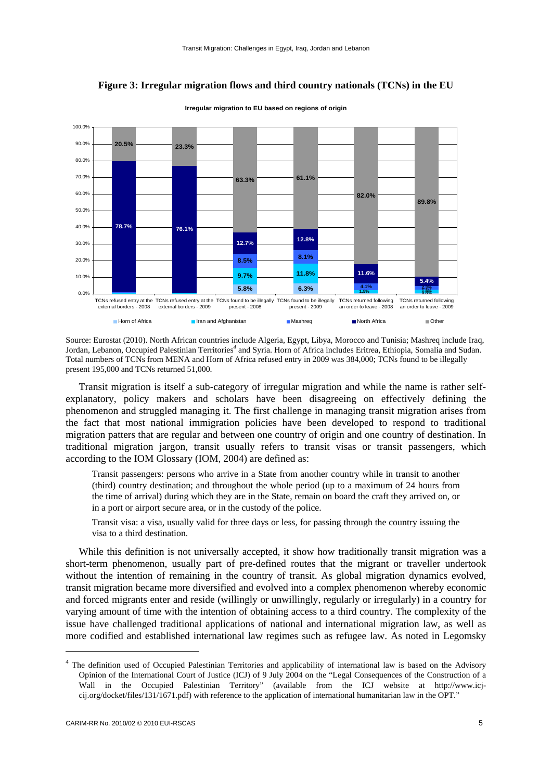

# **Figure 3: Irregular migration flows and third country nationals (TCNs) in the EU**

**Irregular migration to EU based on regions of origin**

Source: Eurostat (2010). North African countries include Algeria, Egypt, Libya, Morocco and Tunisia; Mashreq include Iraq, Jordan, Lebanon, Occupied Palestinian Territories*<sup>4</sup>* and Syria. Horn of Africa includes Eritrea, Ethiopia, Somalia and Sudan. Total numbers of TCNs from MENA and Horn of Africa refused entry in 2009 was 384,000; TCNs found to be illegally present 195,000 and TCNs returned 51,000.

Transit migration is itself a sub-category of irregular migration and while the name is rather selfexplanatory, policy makers and scholars have been disagreeing on effectively defining the phenomenon and struggled managing it. The first challenge in managing transit migration arises from the fact that most national immigration policies have been developed to respond to traditional migration patters that are regular and between one country of origin and one country of destination. In traditional migration jargon, transit usually refers to transit visas or transit passengers, which according to the IOM Glossary (IOM, 2004) are defined as:

Transit passengers: persons who arrive in a State from another country while in transit to another (third) country destination; and throughout the whole period (up to a maximum of 24 hours from the time of arrival) during which they are in the State, remain on board the craft they arrived on, or in a port or airport secure area, or in the custody of the police.

Transit visa: a visa, usually valid for three days or less, for passing through the country issuing the visa to a third destination.

While this definition is not universally accepted, it show how traditionally transit migration was a short-term phenomenon, usually part of pre-defined routes that the migrant or traveller undertook without the intention of remaining in the country of transit. As global migration dynamics evolved, transit migration became more diversified and evolved into a complex phenomenon whereby economic and forced migrants enter and reside (willingly or unwillingly, regularly or irregularly) in a country for varying amount of time with the intention of obtaining access to a third country. The complexity of the issue have challenged traditional applications of national and international migration law, as well as more codified and established international law regimes such as refugee law. As noted in Legomsky

1

<sup>&</sup>lt;sup>4</sup> The definition used of Occupied Palestinian Territories and applicability of international law is based on the Advisory Opinion of the International Court of Justice (ICJ) of 9 July 2004 on the "Legal Consequences of the Construction of a Wall in the Occupied Palestinian Territory" (available from the ICJ website at http://www.icjcij.org/docket/files/131/1671.pdf) with reference to the application of international humanitarian law in the OPT."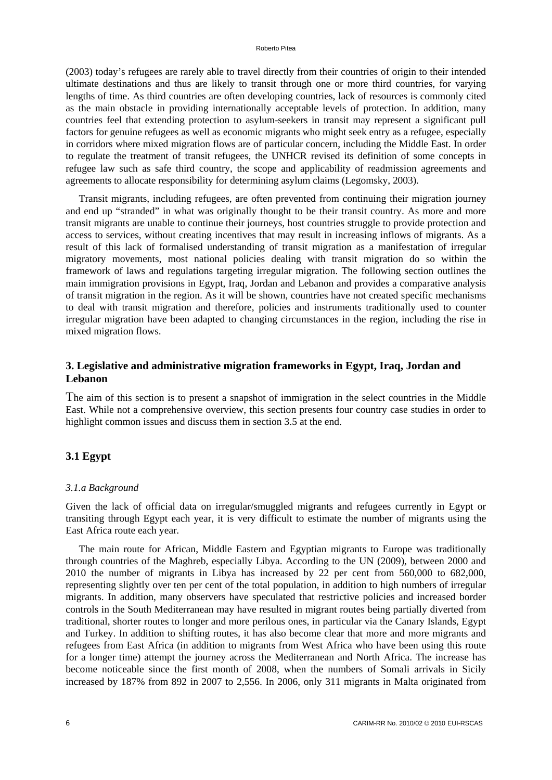(2003) today's refugees are rarely able to travel directly from their countries of origin to their intended ultimate destinations and thus are likely to transit through one or more third countries, for varying lengths of time. As third countries are often developing countries, lack of resources is commonly cited as the main obstacle in providing internationally acceptable levels of protection. In addition, many countries feel that extending protection to asylum-seekers in transit may represent a significant pull factors for genuine refugees as well as economic migrants who might seek entry as a refugee, especially in corridors where mixed migration flows are of particular concern, including the Middle East. In order to regulate the treatment of transit refugees, the UNHCR revised its definition of some concepts in refugee law such as safe third country, the scope and applicability of readmission agreements and agreements to allocate responsibility for determining asylum claims (Legomsky, 2003).

Transit migrants, including refugees, are often prevented from continuing their migration journey and end up "stranded" in what was originally thought to be their transit country. As more and more transit migrants are unable to continue their journeys, host countries struggle to provide protection and access to services, without creating incentives that may result in increasing inflows of migrants. As a result of this lack of formalised understanding of transit migration as a manifestation of irregular migratory movements, most national policies dealing with transit migration do so within the framework of laws and regulations targeting irregular migration. The following section outlines the main immigration provisions in Egypt, Iraq, Jordan and Lebanon and provides a comparative analysis of transit migration in the region. As it will be shown, countries have not created specific mechanisms to deal with transit migration and therefore, policies and instruments traditionally used to counter irregular migration have been adapted to changing circumstances in the region, including the rise in mixed migration flows.

# **3. Legislative and administrative migration frameworks in Egypt, Iraq, Jordan and Lebanon**

The aim of this section is to present a snapshot of immigration in the select countries in the Middle East. While not a comprehensive overview, this section presents four country case studies in order to highlight common issues and discuss them in section 3.5 at the end.

# **3.1 Egypt**

# *3.1.a Background*

Given the lack of official data on irregular/smuggled migrants and refugees currently in Egypt or transiting through Egypt each year, it is very difficult to estimate the number of migrants using the East Africa route each year.

The main route for African, Middle Eastern and Egyptian migrants to Europe was traditionally through countries of the Maghreb, especially Libya. According to the UN (2009), between 2000 and 2010 the number of migrants in Libya has increased by 22 per cent from 560,000 to 682,000, representing slightly over ten per cent of the total population, in addition to high numbers of irregular migrants. In addition, many observers have speculated that restrictive policies and increased border controls in the South Mediterranean may have resulted in migrant routes being partially diverted from traditional, shorter routes to longer and more perilous ones, in particular via the Canary Islands, Egypt and Turkey. In addition to shifting routes, it has also become clear that more and more migrants and refugees from East Africa (in addition to migrants from West Africa who have been using this route for a longer time) attempt the journey across the Mediterranean and North Africa. The increase has become noticeable since the first month of 2008, when the numbers of Somali arrivals in Sicily increased by 187% from 892 in 2007 to 2,556. In 2006, only 311 migrants in Malta originated from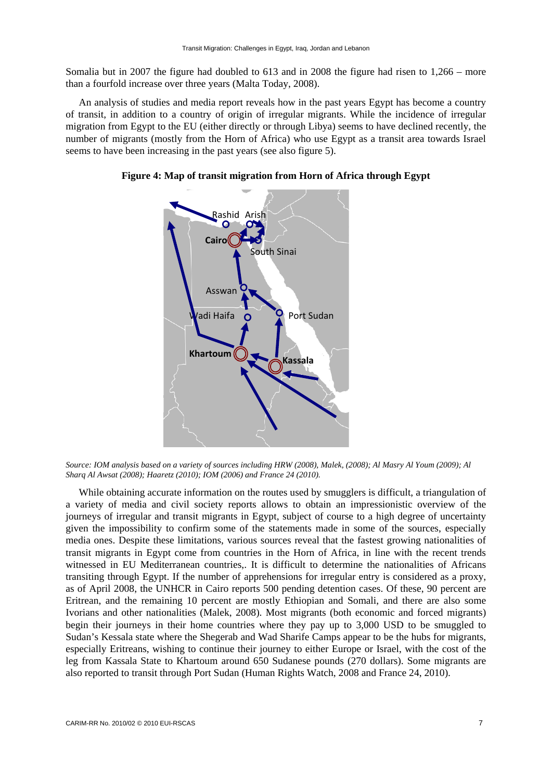Somalia but in 2007 the figure had doubled to 613 and in 2008 the figure had risen to 1,266 – more than a fourfold increase over three years (Malta Today, 2008).

An analysis of studies and media report reveals how in the past years Egypt has become a country of transit, in addition to a country of origin of irregular migrants. While the incidence of irregular migration from Egypt to the EU (either directly or through Libya) seems to have declined recently, the number of migrants (mostly from the Horn of Africa) who use Egypt as a transit area towards Israel seems to have been increasing in the past years (see also figure 5).



**Figure 4: Map of transit migration from Horn of Africa through Egypt** 

*Source: IOM analysis based on a variety of sources including HRW (2008), Malek, (2008); Al Masry Al Youm (2009); Al Sharq Al Awsat (2008); Haaretz (2010); IOM (2006) and France 24 (2010).* 

While obtaining accurate information on the routes used by smugglers is difficult, a triangulation of a variety of media and civil society reports allows to obtain an impressionistic overview of the journeys of irregular and transit migrants in Egypt, subject of course to a high degree of uncertainty given the impossibility to confirm some of the statements made in some of the sources, especially media ones. Despite these limitations, various sources reveal that the fastest growing nationalities of transit migrants in Egypt come from countries in the Horn of Africa, in line with the recent trends witnessed in EU Mediterranean countries,. It is difficult to determine the nationalities of Africans transiting through Egypt. If the number of apprehensions for irregular entry is considered as a proxy, as of April 2008, the UNHCR in Cairo reports 500 pending detention cases. Of these, 90 percent are Eritrean, and the remaining 10 percent are mostly Ethiopian and Somali, and there are also some Ivorians and other nationalities (Malek, 2008). Most migrants (both economic and forced migrants) begin their journeys in their home countries where they pay up to 3,000 USD to be smuggled to Sudan's Kessala state where the Shegerab and Wad Sharife Camps appear to be the hubs for migrants, especially Eritreans, wishing to continue their journey to either Europe or Israel, with the cost of the leg from Kassala State to Khartoum around 650 Sudanese pounds (270 dollars). Some migrants are also reported to transit through Port Sudan (Human Rights Watch, 2008 and France 24, 2010).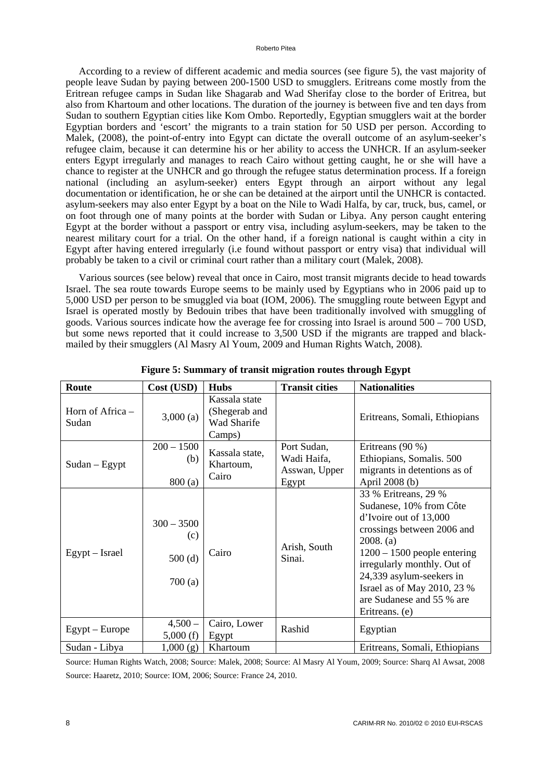#### Roberto Pitea

According to a review of different academic and media sources (see figure 5), the vast majority of people leave Sudan by paying between 200-1500 USD to smugglers. Eritreans come mostly from the Eritrean refugee camps in Sudan like Shagarab and Wad Sherifay close to the border of Eritrea, but also from Khartoum and other locations. The duration of the journey is between five and ten days from Sudan to southern Egyptian cities like Kom Ombo. Reportedly, Egyptian smugglers wait at the border Egyptian borders and 'escort' the migrants to a train station for 50 USD per person. According to Malek, (2008), the point-of-entry into Egypt can dictate the overall outcome of an asylum-seeker's refugee claim, because it can determine his or her ability to access the UNHCR. If an asylum-seeker enters Egypt irregularly and manages to reach Cairo without getting caught, he or she will have a chance to register at the UNHCR and go through the refugee status determination process. If a foreign national (including an asylum-seeker) enters Egypt through an airport without any legal documentation or identification, he or she can be detained at the airport until the UNHCR is contacted. asylum-seekers may also enter Egypt by a boat on the Nile to Wadi Halfa, by car, truck, bus, camel, or on foot through one of many points at the border with Sudan or Libya. Any person caught entering Egypt at the border without a passport or entry visa, including asylum-seekers, may be taken to the nearest military court for a trial. On the other hand, if a foreign national is caught within a city in Egypt after having entered irregularly (i.e found without passport or entry visa) that individual will probably be taken to a civil or criminal court rather than a military court (Malek, 2008).

Various sources (see below) reveal that once in Cairo, most transit migrants decide to head towards Israel. The sea route towards Europe seems to be mainly used by Egyptians who in 2006 paid up to 5,000 USD per person to be smuggled via boat (IOM, 2006). The smuggling route between Egypt and Israel is operated mostly by Bedouin tribes that have been traditionally involved with smuggling of goods. Various sources indicate how the average fee for crossing into Israel is around 500 – 700 USD, but some news reported that it could increase to 3,500 USD if the migrants are trapped and blackmailed by their smugglers (Al Masry Al Youm, 2009 and Human Rights Watch, 2008).

| Route                     | Cost (USD)                              | <b>Hubs</b>                                             | <b>Transit cities</b>                                | <b>Nationalities</b>                                                                                                                                                                                                                                                                           |
|---------------------------|-----------------------------------------|---------------------------------------------------------|------------------------------------------------------|------------------------------------------------------------------------------------------------------------------------------------------------------------------------------------------------------------------------------------------------------------------------------------------------|
| Horn of Africa –<br>Sudan | 3,000(a)                                | Kassala state<br>(Shegerab and<br>Wad Sharife<br>Camps) |                                                      | Eritreans, Somali, Ethiopians                                                                                                                                                                                                                                                                  |
| $Sudan - Egypt$           | $200 - 1500$<br>(b)<br>800(a)           | Kassala state,<br>Khartoum,<br>Cairo                    | Port Sudan,<br>Wadi Haifa,<br>Asswan, Upper<br>Egypt | Eritreans $(90\%)$<br>Ethiopians, Somalis. 500<br>migrants in detentions as of<br>April 2008 (b)                                                                                                                                                                                               |
| Egypt – Israel            | $300 - 3500$<br>(c)<br>500(d)<br>700(a) | Cairo                                                   | Arish, South<br>Sinai.                               | 33 % Eritreans, 29 %<br>Sudanese, 10% from Côte<br>d'Ivoire out of 13,000<br>crossings between 2006 and<br>2008. (a)<br>$1200 - 1500$ people entering<br>irregularly monthly. Out of<br>24,339 asylum-seekers in<br>Israel as of May 2010, 23 %<br>are Sudanese and 55 % are<br>Eritreans. (e) |
| $Egypt$ – Europe          | $4,500-$<br>5,000(f)                    | Cairo, Lower<br>Egypt                                   | Rashid                                               | Egyptian                                                                                                                                                                                                                                                                                       |
| Sudan - Libya             | 1,000(g)                                | Khartoum                                                |                                                      | Eritreans, Somali, Ethiopians                                                                                                                                                                                                                                                                  |

**Figure 5: Summary of transit migration routes through Egypt** 

Source: Human Rights Watch, 2008; Source: Malek, 2008; Source: Al Masry Al Youm, 2009; Source: Sharq Al Awsat, 2008 Source: Haaretz, 2010; Source: IOM, 2006; Source: France 24, 2010.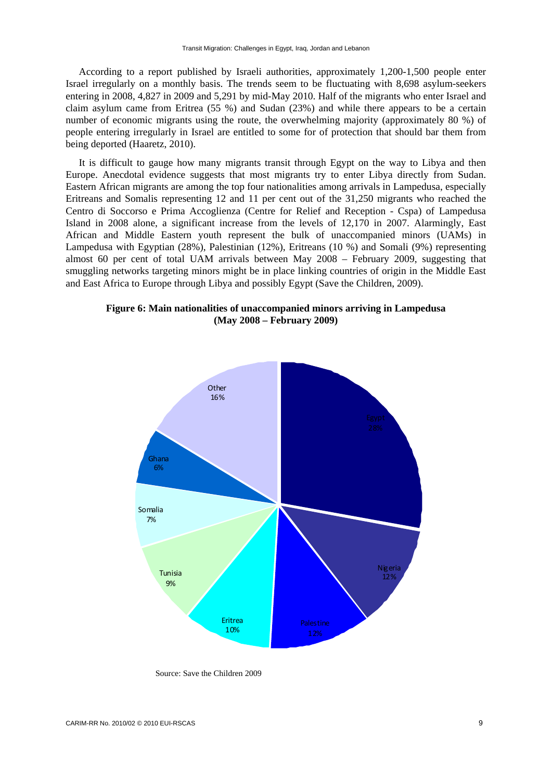According to a report published by Israeli authorities, approximately 1,200-1,500 people enter Israel irregularly on a monthly basis. The trends seem to be fluctuating with 8,698 asylum-seekers entering in 2008, 4,827 in 2009 and 5,291 by mid-May 2010. Half of the migrants who enter Israel and claim asylum came from Eritrea (55 %) and Sudan (23%) and while there appears to be a certain number of economic migrants using the route, the overwhelming majority (approximately 80 %) of people entering irregularly in Israel are entitled to some for of protection that should bar them from being deported (Haaretz, 2010).

It is difficult to gauge how many migrants transit through Egypt on the way to Libya and then Europe. Anecdotal evidence suggests that most migrants try to enter Libya directly from Sudan. Eastern African migrants are among the top four nationalities among arrivals in Lampedusa, especially Eritreans and Somalis representing 12 and 11 per cent out of the 31,250 migrants who reached the Centro di Soccorso e Prima Accoglienza (Centre for Relief and Reception - Cspa) of Lampedusa Island in 2008 alone, a significant increase from the levels of 12,170 in 2007. Alarmingly, East African and Middle Eastern youth represent the bulk of unaccompanied minors (UAMs) in Lampedusa with Egyptian (28%), Palestinian (12%), Eritreans (10 %) and Somali (9%) representing almost 60 per cent of total UAM arrivals between May 2008 – February 2009, suggesting that smuggling networks targeting minors might be in place linking countries of origin in the Middle East and East Africa to Europe through Libya and possibly Egypt (Save the Children, 2009).





Source: Save the Children 2009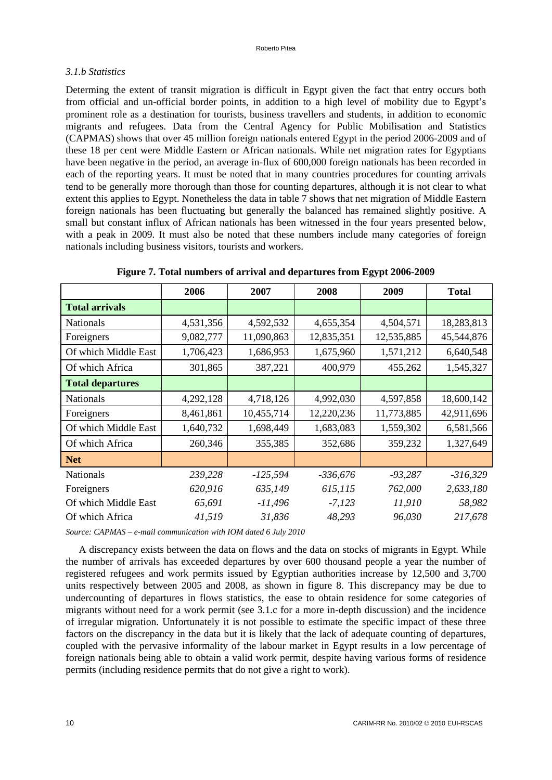# *3.1.b Statistics*

Determing the extent of transit migration is difficult in Egypt given the fact that entry occurs both from official and un-official border points, in addition to a high level of mobility due to Egypt's prominent role as a destination for tourists, business travellers and students, in addition to economic migrants and refugees. Data from the Central Agency for Public Mobilisation and Statistics (CAPMAS) shows that over 45 million foreign nationals entered Egypt in the period 2006-2009 and of these 18 per cent were Middle Eastern or African nationals. While net migration rates for Egyptians have been negative in the period, an average in-flux of 600,000 foreign nationals has been recorded in each of the reporting years. It must be noted that in many countries procedures for counting arrivals tend to be generally more thorough than those for counting departures, although it is not clear to what extent this applies to Egypt. Nonetheless the data in table 7 shows that net migration of Middle Eastern foreign nationals has been fluctuating but generally the balanced has remained slightly positive. A small but constant influx of African nationals has been witnessed in the four years presented below, with a peak in 2009. It must also be noted that these numbers include many categories of foreign nationals including business visitors, tourists and workers.

|                         | 2006      | 2007       | 2008       | 2009       | <b>Total</b> |
|-------------------------|-----------|------------|------------|------------|--------------|
| <b>Total arrivals</b>   |           |            |            |            |              |
| <b>Nationals</b>        | 4,531,356 | 4,592,532  | 4,655,354  | 4,504,571  | 18,283,813   |
| Foreigners              | 9,082,777 | 11,090,863 | 12,835,351 | 12,535,885 | 45,544,876   |
| Of which Middle East    | 1,706,423 | 1,686,953  | 1,675,960  | 1,571,212  | 6,640,548    |
| Of which Africa         | 301,865   | 387,221    | 400,979    | 455,262    | 1,545,327    |
| <b>Total departures</b> |           |            |            |            |              |
| <b>Nationals</b>        | 4,292,128 | 4,718,126  | 4,992,030  | 4,597,858  | 18,600,142   |
| Foreigners              | 8,461,861 | 10,455,714 | 12,220,236 | 11,773,885 | 42,911,696   |
| Of which Middle East    | 1,640,732 | 1,698,449  | 1,683,083  | 1,559,302  | 6,581,566    |
| Of which Africa         | 260,346   | 355,385    | 352,686    | 359,232    | 1,327,649    |
| <b>Net</b>              |           |            |            |            |              |
| <b>Nationals</b>        | 239,228   | $-125,594$ | $-336,676$ | $-93,287$  | $-316,329$   |
| Foreigners              | 620,916   | 635,149    | 615,115    | 762,000    | 2,633,180    |
| Of which Middle East    | 65,691    | $-11,496$  | $-7,123$   | 11,910     | 58,982       |
| Of which Africa         | 41,519    | 31,836     | 48,293     | 96,030     | 217,678      |

**Figure 7. Total numbers of arrival and departures from Egypt 2006-2009** 

*Source: CAPMAS – e-mail communication with IOM dated 6 July 2010* 

A discrepancy exists between the data on flows and the data on stocks of migrants in Egypt. While the number of arrivals has exceeded departures by over 600 thousand people a year the number of registered refugees and work permits issued by Egyptian authorities increase by 12,500 and 3,700 units respectively between 2005 and 2008, as shown in figure 8. This discrepancy may be due to undercounting of departures in flows statistics, the ease to obtain residence for some categories of migrants without need for a work permit (see 3.1.c for a more in-depth discussion) and the incidence of irregular migration. Unfortunately it is not possible to estimate the specific impact of these three factors on the discrepancy in the data but it is likely that the lack of adequate counting of departures, coupled with the pervasive informality of the labour market in Egypt results in a low percentage of foreign nationals being able to obtain a valid work permit, despite having various forms of residence permits (including residence permits that do not give a right to work).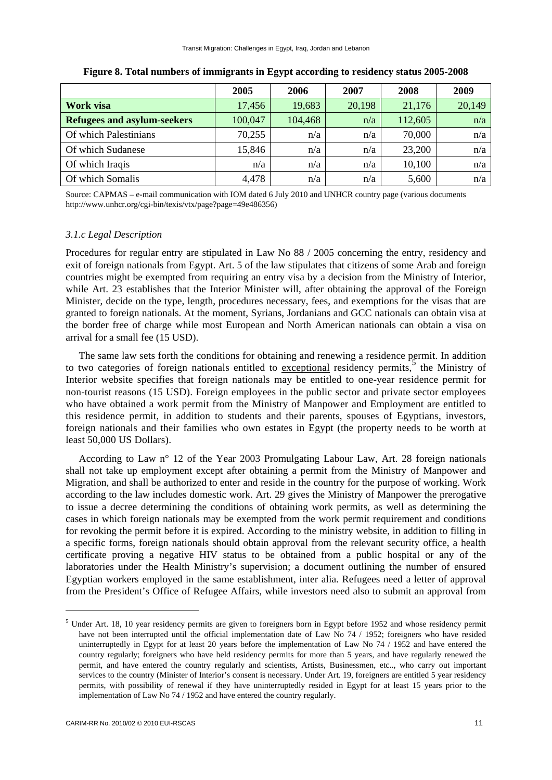|                                    | 2005    | 2006    | 2007   | 2008    | 2009   |
|------------------------------------|---------|---------|--------|---------|--------|
| Work visa                          | 17,456  | 19,683  | 20,198 | 21,176  | 20,149 |
| <b>Refugees and asylum-seekers</b> | 100,047 | 104,468 | n/a    | 112,605 | n/a    |
| Of which Palestinians              | 70,255  | n/a     | n/a    | 70,000  | n/a    |
| Of which Sudanese                  | 15,846  | n/a     | n/a    | 23,200  | n/a    |
| Of which Iraqis                    | n/a     | n/a     | n/a    | 10,100  | n/a    |
| Of which Somalis                   | 4,478   | n/a     | n/a    | 5,600   | n/a    |

**Figure 8. Total numbers of immigrants in Egypt according to residency status 2005-2008** 

Source: CAPMAS – e-mail communication with IOM dated 6 July 2010 and UNHCR country page (various documents http://www.unhcr.org/cgi-bin/texis/vtx/page?page=49e486356)

### *3.1.c Legal Description*

Procedures for regular entry are stipulated in Law No 88 / 2005 concerning the entry, residency and exit of foreign nationals from Egypt. Art. 5 of the law stipulates that citizens of some Arab and foreign countries might be exempted from requiring an entry visa by a decision from the Ministry of Interior, while Art. 23 establishes that the Interior Minister will, after obtaining the approval of the Foreign Minister, decide on the type, length, procedures necessary, fees, and exemptions for the visas that are granted to foreign nationals. At the moment, Syrians, Jordanians and GCC nationals can obtain visa at the border free of charge while most European and North American nationals can obtain a visa on arrival for a small fee (15 USD).

The same law sets forth the conditions for obtaining and renewing a residence permit. In addition to two categories of foreign nationals entitled to exceptional residency permits,<sup>5</sup> the Ministry of Interior website specifies that foreign nationals may be entitled to one-year residence permit for non-tourist reasons (15 USD). Foreign employees in the public sector and private sector employees who have obtained a work permit from the Ministry of Manpower and Employment are entitled to this residence permit, in addition to students and their parents, spouses of Egyptians, investors, foreign nationals and their families who own estates in Egypt (the property needs to be worth at least 50,000 US Dollars).

According to Law n° 12 of the Year 2003 Promulgating Labour Law, Art. 28 foreign nationals shall not take up employment except after obtaining a permit from the Ministry of Manpower and Migration, and shall be authorized to enter and reside in the country for the purpose of working. Work according to the law includes domestic work. Art. 29 gives the Ministry of Manpower the prerogative to issue a decree determining the conditions of obtaining work permits, as well as determining the cases in which foreign nationals may be exempted from the work permit requirement and conditions for revoking the permit before it is expired. According to the ministry website, in addition to filling in a specific forms, foreign nationals should obtain approval from the relevant security office, a health certificate proving a negative HIV status to be obtained from a public hospital or any of the laboratories under the Health Ministry's supervision; a document outlining the number of ensured Egyptian workers employed in the same establishment, inter alia. Refugees need a letter of approval from the President's Office of Refugee Affairs, while investors need also to submit an approval from

-

<sup>&</sup>lt;sup>5</sup> Under Art. 18, 10 year residency permits are given to foreigners born in Egypt before 1952 and whose residency permit have not been interrupted until the official implementation date of Law No 74 / 1952; foreigners who have resided uninterruptedly in Egypt for at least 20 years before the implementation of Law No 74 / 1952 and have entered the country regularly; foreigners who have held residency permits for more than 5 years, and have regularly renewed the permit, and have entered the country regularly and scientists, Artists, Businessmen, etc.., who carry out important services to the country (Minister of Interior's consent is necessary. Under Art. 19, foreigners are entitled 5 year residency permits, with possibility of renewal if they have uninterruptedly resided in Egypt for at least 15 years prior to the implementation of Law No 74 / 1952 and have entered the country regularly.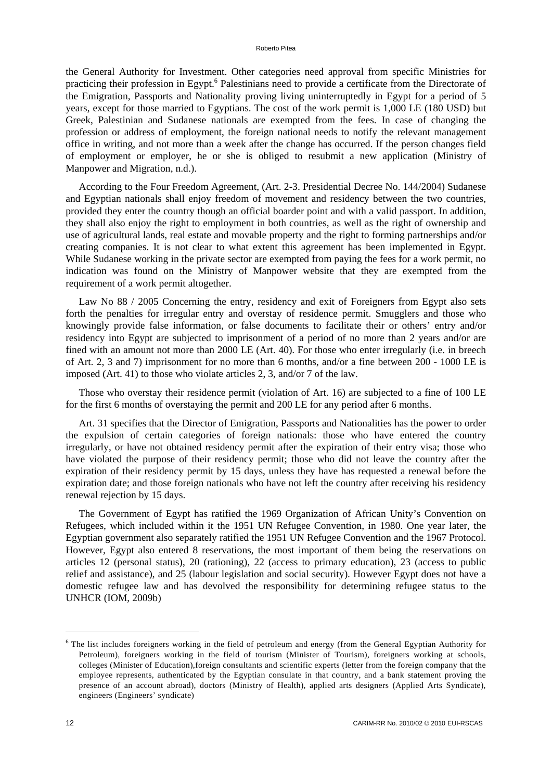#### Roberto Pitea

the General Authority for Investment. Other categories need approval from specific Ministries for practicing their profession in Egypt.<sup>6</sup> Palestinians need to provide a certificate from the Directorate of the Emigration, Passports and Nationality proving living uninterruptedly in Egypt for a period of 5 years, except for those married to Egyptians. The cost of the work permit is 1,000 LE (180 USD) but Greek, Palestinian and Sudanese nationals are exempted from the fees. In case of changing the profession or address of employment, the foreign national needs to notify the relevant management office in writing, and not more than a week after the change has occurred. If the person changes field of employment or employer, he or she is obliged to resubmit a new application (Ministry of Manpower and Migration, n.d.).

According to the Four Freedom Agreement, (Art. 2-3. Presidential Decree No. 144/2004) Sudanese and Egyptian nationals shall enjoy freedom of movement and residency between the two countries, provided they enter the country though an official boarder point and with a valid passport. In addition, they shall also enjoy the right to employment in both countries, as well as the right of ownership and use of agricultural lands, real estate and movable property and the right to forming partnerships and/or creating companies. It is not clear to what extent this agreement has been implemented in Egypt. While Sudanese working in the private sector are exempted from paying the fees for a work permit, no indication was found on the Ministry of Manpower website that they are exempted from the requirement of a work permit altogether.

Law No 88 / 2005 Concerning the entry, residency and exit of Foreigners from Egypt also sets forth the penalties for irregular entry and overstay of residence permit. Smugglers and those who knowingly provide false information, or false documents to facilitate their or others' entry and/or residency into Egypt are subjected to imprisonment of a period of no more than 2 years and/or are fined with an amount not more than 2000 LE (Art. 40). For those who enter irregularly (i.e. in breech of Art. 2, 3 and 7) imprisonment for no more than 6 months, and/or a fine between 200 - 1000 LE is imposed (Art. 41) to those who violate articles 2, 3, and/or 7 of the law.

Those who overstay their residence permit (violation of Art. 16) are subjected to a fine of 100 LE for the first 6 months of overstaying the permit and 200 LE for any period after 6 months.

Art. 31 specifies that the Director of Emigration, Passports and Nationalities has the power to order the expulsion of certain categories of foreign nationals: those who have entered the country irregularly, or have not obtained residency permit after the expiration of their entry visa; those who have violated the purpose of their residency permit; those who did not leave the country after the expiration of their residency permit by 15 days, unless they have has requested a renewal before the expiration date; and those foreign nationals who have not left the country after receiving his residency renewal rejection by 15 days.

The Government of Egypt has ratified the 1969 Organization of African Unity's Convention on Refugees, which included within it the 1951 UN Refugee Convention, in 1980. One year later, the Egyptian government also separately ratified the 1951 UN Refugee Convention and the 1967 Protocol. However, Egypt also entered 8 reservations, the most important of them being the reservations on articles 12 (personal status), 20 (rationing), 22 (access to primary education), 23 (access to public relief and assistance), and 25 (labour legislation and social security). However Egypt does not have a domestic refugee law and has devolved the responsibility for determining refugee status to the UNHCR (IOM, 2009b)

1

<sup>&</sup>lt;sup>6</sup> The list includes foreigners working in the field of petroleum and energy (from the General Egyptian Authority for Petroleum), foreigners working in the field of tourism (Minister of Tourism), foreigners working at schools, colleges (Minister of Education),foreign consultants and scientific experts (letter from the foreign company that the employee represents, authenticated by the Egyptian consulate in that country, and a bank statement proving the presence of an account abroad), doctors (Ministry of Health), applied arts designers (Applied Arts Syndicate), engineers (Engineers' syndicate)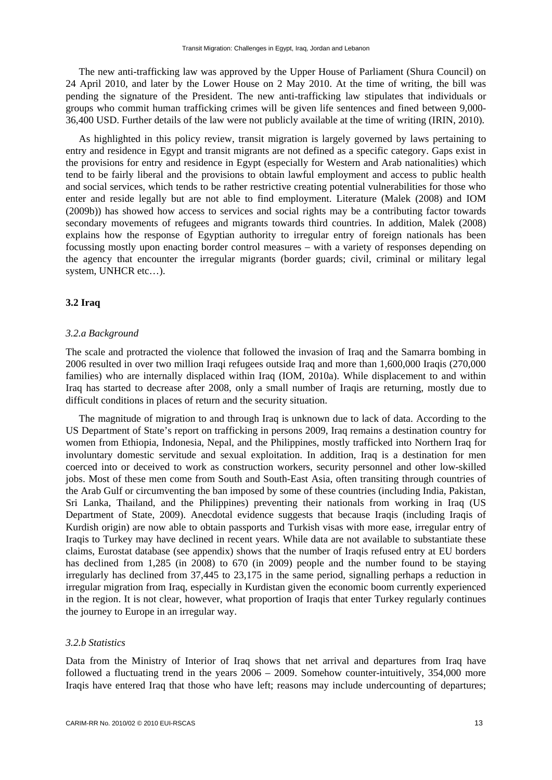The new anti-trafficking law was approved by the Upper House of Parliament (Shura Council) on 24 April 2010, and later by the Lower House on 2 May 2010. At the time of writing, the bill was pending the signature of the President. The new anti-trafficking law stipulates that individuals or groups who commit human trafficking crimes will be given life sentences and fined between 9,000- 36,400 USD. Further details of the law were not publicly available at the time of writing (IRIN, 2010).

As highlighted in this policy review, transit migration is largely governed by laws pertaining to entry and residence in Egypt and transit migrants are not defined as a specific category. Gaps exist in the provisions for entry and residence in Egypt (especially for Western and Arab nationalities) which tend to be fairly liberal and the provisions to obtain lawful employment and access to public health and social services, which tends to be rather restrictive creating potential vulnerabilities for those who enter and reside legally but are not able to find employment. Literature (Malek (2008) and IOM (2009b)) has showed how access to services and social rights may be a contributing factor towards secondary movements of refugees and migrants towards third countries. In addition, Malek (2008) explains how the response of Egyptian authority to irregular entry of foreign nationals has been focussing mostly upon enacting border control measures – with a variety of responses depending on the agency that encounter the irregular migrants (border guards; civil, criminal or military legal system, UNHCR etc…).

# **3.2 Iraq**

### *3.2.a Background*

The scale and protracted the violence that followed the invasion of Iraq and the Samarra bombing in 2006 resulted in over two million Iraqi refugees outside Iraq and more than 1,600,000 Iraqis (270,000 families) who are internally displaced within Iraq (IOM, 2010a). While displacement to and within Iraq has started to decrease after 2008, only a small number of Iraqis are returning, mostly due to difficult conditions in places of return and the security situation.

The magnitude of migration to and through Iraq is unknown due to lack of data. According to the US Department of State's report on trafficking in persons 2009, Iraq remains a destination country for women from Ethiopia, Indonesia, Nepal, and the Philippines, mostly trafficked into Northern Iraq for involuntary domestic servitude and sexual exploitation. In addition, Iraq is a destination for men coerced into or deceived to work as construction workers, security personnel and other low-skilled jobs. Most of these men come from South and South-East Asia, often transiting through countries of the Arab Gulf or circumventing the ban imposed by some of these countries (including India, Pakistan, Sri Lanka, Thailand, and the Philippines) preventing their nationals from working in Iraq (US Department of State, 2009). Anecdotal evidence suggests that because Iraqis (including Iraqis of Kurdish origin) are now able to obtain passports and Turkish visas with more ease, irregular entry of Iraqis to Turkey may have declined in recent years. While data are not available to substantiate these claims, Eurostat database (see appendix) shows that the number of Iraqis refused entry at EU borders has declined from 1,285 (in 2008) to 670 (in 2009) people and the number found to be staying irregularly has declined from 37,445 to 23,175 in the same period, signalling perhaps a reduction in irregular migration from Iraq, especially in Kurdistan given the economic boom currently experienced in the region. It is not clear, however, what proportion of Iraqis that enter Turkey regularly continues the journey to Europe in an irregular way.

# *3.2.b Statistics*

Data from the Ministry of Interior of Iraq shows that net arrival and departures from Iraq have followed a fluctuating trend in the years 2006 – 2009. Somehow counter-intuitively, 354,000 more Iraqis have entered Iraq that those who have left; reasons may include undercounting of departures;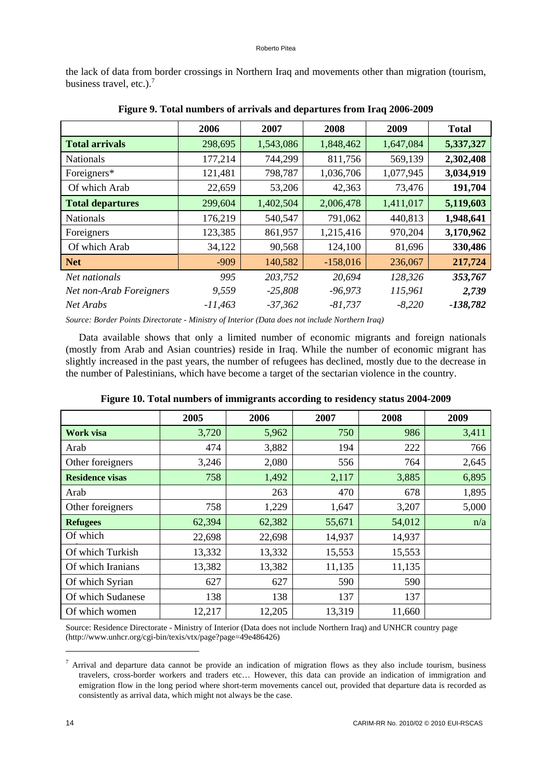the lack of data from border crossings in Northern Iraq and movements other than migration (tourism, business travel, etc.).<sup>7</sup>

|                         | 2006      | 2007      | 2008       | 2009      | <b>Total</b> |
|-------------------------|-----------|-----------|------------|-----------|--------------|
| <b>Total arrivals</b>   | 298,695   | 1,543,086 | 1,848,462  | 1,647,084 | 5,337,327    |
| <b>Nationals</b>        | 177,214   | 744,299   | 811,756    | 569,139   | 2,302,408    |
| Foreigners*             | 121,481   | 798,787   | 1,036,706  | 1,077,945 | 3,034,919    |
| Of which Arab           | 22,659    | 53,206    | 42,363     | 73,476    | 191,704      |
| <b>Total departures</b> | 299,604   | 1,402,504 | 2,006,478  | 1,411,017 | 5,119,603    |
| <b>Nationals</b>        | 176,219   | 540,547   | 791,062    | 440,813   | 1,948,641    |
| Foreigners              | 123,385   | 861,957   | 1,215,416  | 970,204   | 3,170,962    |
| Of which Arab           | 34,122    | 90,568    | 124,100    | 81,696    | 330,486      |
| <b>Net</b>              | $-909$    | 140,582   | $-158,016$ | 236,067   | 217,724      |
| Net nationals           | 995       | 203,752   | 20,694     | 128,326   | 353,767      |
| Net non-Arab Foreigners | 9,559     | $-25,808$ | $-96,973$  | 115,961   | 2,739        |
| Net Arabs               | $-11,463$ | $-37,362$ | $-81,737$  | $-8,220$  | $-138,782$   |

**Figure 9. Total numbers of arrivals and departures from Iraq 2006-2009** 

*Source: Border Points Directorate - Ministry of Interior (Data does not include Northern Iraq)* 

Data available shows that only a limited number of economic migrants and foreign nationals (mostly from Arab and Asian countries) reside in Iraq. While the number of economic migrant has slightly increased in the past years, the number of refugees has declined, mostly due to the decrease in the number of Palestinians, which have become a target of the sectarian violence in the country.

|                        | 2005   | 2006   | 2007   | 2008   | 2009  |
|------------------------|--------|--------|--------|--------|-------|
| Work visa              | 3,720  | 5,962  | 750    | 986    | 3,411 |
| Arab                   | 474    | 3,882  | 194    | 222    | 766   |
| Other foreigners       | 3,246  | 2,080  | 556    | 764    | 2,645 |
| <b>Residence visas</b> | 758    | 1,492  | 2,117  | 3,885  | 6,895 |
| Arab                   |        | 263    | 470    | 678    | 1,895 |
| Other foreigners       | 758    | 1,229  | 1,647  | 3,207  | 5,000 |
| <b>Refugees</b>        | 62,394 | 62,382 | 55,671 | 54,012 | n/a   |
| Of which               | 22,698 | 22,698 | 14,937 | 14,937 |       |
| Of which Turkish       | 13,332 | 13,332 | 15,553 | 15,553 |       |
| Of which Iranians      | 13,382 | 13,382 | 11,135 | 11,135 |       |
| Of which Syrian        | 627    | 627    | 590    | 590    |       |
| Of which Sudanese      | 138    | 138    | 137    | 137    |       |
| Of which women         | 12,217 | 12,205 | 13,319 | 11,660 |       |

**Figure 10. Total numbers of immigrants according to residency status 2004-2009** 

Source: Residence Directorate - Ministry of Interior (Data does not include Northern Iraq) and UNHCR country page (http://www.unhcr.org/cgi-bin/texis/vtx/page?page=49e486426)

1

 $^7$  Arrival and departure data cannot be provide an indication of migration flows as they also include tourism, business travelers, cross-border workers and traders etc… However, this data can provide an indication of immigration and emigration flow in the long period where short-term movements cancel out, provided that departure data is recorded as consistently as arrival data, which might not always be the case.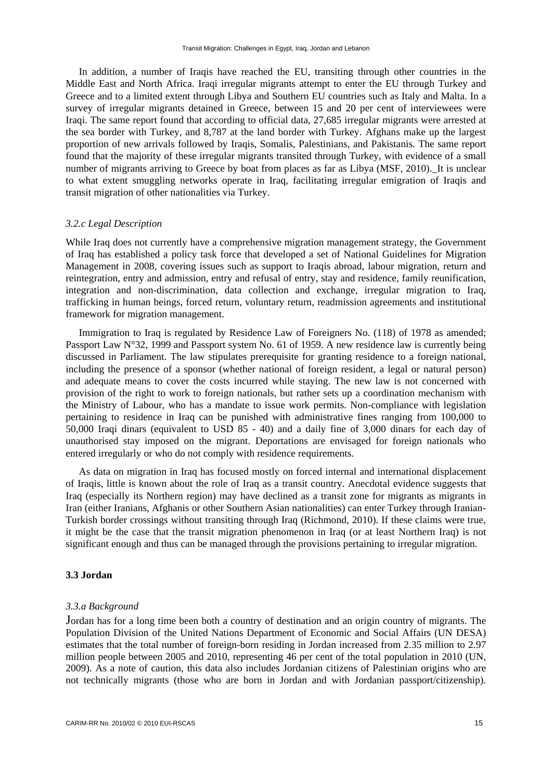In addition, a number of Iraqis have reached the EU, transiting through other countries in the Middle East and North Africa. Iraqi irregular migrants attempt to enter the EU through Turkey and Greece and to a limited extent through Libya and Southern EU countries such as Italy and Malta. In a survey of irregular migrants detained in Greece, between 15 and 20 per cent of interviewees were Iraqi. The same report found that according to official data, 27,685 irregular migrants were arrested at the sea border with Turkey, and 8,787 at the land border with Turkey. Afghans make up the largest proportion of new arrivals followed by Iraqis, Somalis, Palestinians, and Pakistanis. The same report found that the majority of these irregular migrants transited through Turkey, with evidence of a small number of migrants arriving to Greece by boat from places as far as Libya (MSF, 2010). It is unclear to what extent smuggling networks operate in Iraq, facilitating irregular emigration of Iraqis and transit migration of other nationalities via Turkey.

### *3.2.c Legal Description*

While Iraq does not currently have a comprehensive migration management strategy, the Government of Iraq has established a policy task force that developed a set of National Guidelines for Migration Management in 2008, covering issues such as support to Iraqis abroad, labour migration, return and reintegration, entry and admission, entry and refusal of entry, stay and residence, family reunification, integration and non-discrimination, data collection and exchange, irregular migration to Iraq, trafficking in human beings, forced return, voluntary return, readmission agreements and institutional framework for migration management.

Immigration to Iraq is regulated by Residence Law of Foreigners No. (118) of 1978 as amended; Passport Law N°32, 1999 and Passport system No. 61 of 1959. A new residence law is currently being discussed in Parliament. The law stipulates prerequisite for granting residence to a foreign national, including the presence of a sponsor (whether national of foreign resident, a legal or natural person) and adequate means to cover the costs incurred while staying. The new law is not concerned with provision of the right to work to foreign nationals, but rather sets up a coordination mechanism with the Ministry of Labour, who has a mandate to issue work permits. Non-compliance with legislation pertaining to residence in Iraq can be punished with administrative fines ranging from 100,000 to 50,000 Iraqi dinars (equivalent to USD 85 - 40) and a daily fine of 3,000 dinars for each day of unauthorised stay imposed on the migrant. Deportations are envisaged for foreign nationals who entered irregularly or who do not comply with residence requirements.

As data on migration in Iraq has focused mostly on forced internal and international displacement of Iraqis, little is known about the role of Iraq as a transit country. Anecdotal evidence suggests that Iraq (especially its Northern region) may have declined as a transit zone for migrants as migrants in Iran (either Iranians, Afghanis or other Southern Asian nationalities) can enter Turkey through Iranian-Turkish border crossings without transiting through Iraq (Richmond, 2010). If these claims were true, it might be the case that the transit migration phenomenon in Iraq (or at least Northern Iraq) is not significant enough and thus can be managed through the provisions pertaining to irregular migration.

### **3.3 Jordan**

#### *3.3.a Background*

Jordan has for a long time been both a country of destination and an origin country of migrants. The Population Division of the United Nations Department of Economic and Social Affairs (UN DESA) estimates that the total number of foreign-born residing in Jordan increased from 2.35 million to 2.97 million people between 2005 and 2010, representing 46 per cent of the total population in 2010 (UN, 2009). As a note of caution, this data also includes Jordanian citizens of Palestinian origins who are not technically migrants (those who are born in Jordan and with Jordanian passport/citizenship).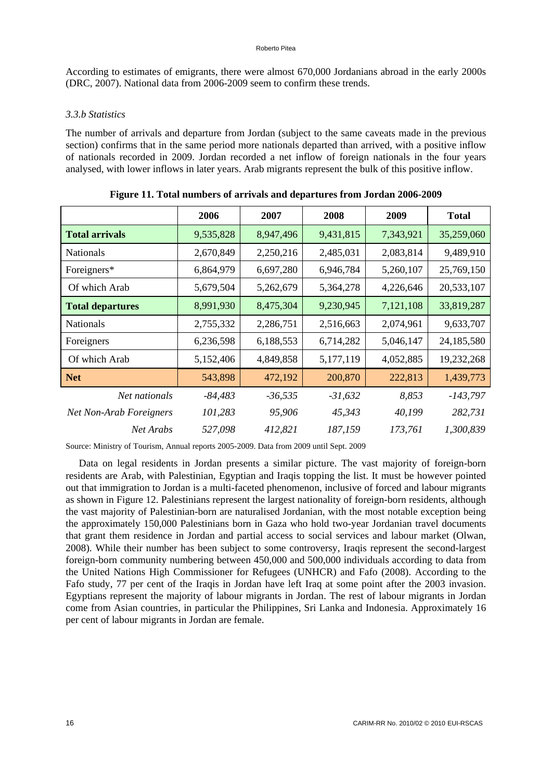According to estimates of emigrants, there were almost 670,000 Jordanians abroad in the early 2000s (DRC, 2007). National data from 2006-2009 seem to confirm these trends.

### *3.3.b Statistics*

The number of arrivals and departure from Jordan (subject to the same caveats made in the previous section) confirms that in the same period more nationals departed than arrived, with a positive inflow of nationals recorded in 2009. Jordan recorded a net inflow of foreign nationals in the four years analysed, with lower inflows in later years. Arab migrants represent the bulk of this positive inflow.

|                                | 2006      | 2007      | 2008      | 2009      | <b>Total</b> |
|--------------------------------|-----------|-----------|-----------|-----------|--------------|
| <b>Total arrivals</b>          | 9,535,828 | 8,947,496 | 9,431,815 | 7,343,921 | 35,259,060   |
| <b>Nationals</b>               | 2,670,849 | 2,250,216 | 2,485,031 | 2,083,814 | 9,489,910    |
| Foreigners*                    | 6,864,979 | 6,697,280 | 6,946,784 | 5,260,107 | 25,769,150   |
| Of which Arab                  | 5,679,504 | 5,262,679 | 5,364,278 | 4,226,646 | 20,533,107   |
| <b>Total departures</b>        | 8,991,930 | 8,475,304 | 9,230,945 | 7,121,108 | 33,819,287   |
| <b>Nationals</b>               | 2,755,332 | 2,286,751 | 2,516,663 | 2,074,961 | 9,633,707    |
| Foreigners                     | 6,236,598 | 6,188,553 | 6,714,282 | 5,046,147 | 24,185,580   |
| Of which Arab                  | 5,152,406 | 4,849,858 | 5,177,119 | 4,052,885 | 19,232,268   |
| <b>Net</b>                     | 543,898   | 472,192   | 200,870   | 222,813   | 1,439,773    |
| Net nationals                  | $-84,483$ | $-36,535$ | $-31,632$ | 8,853     | $-143,797$   |
| <b>Net Non-Arab Foreigners</b> | 101,283   | 95,906    | 45,343    | 40,199    | 282,731      |
| Net Arabs                      | 527,098   | 412,821   | 187,159   | 173,761   | 1,300,839    |

**Figure 11. Total numbers of arrivals and departures from Jordan 2006-2009** 

Source: Ministry of Tourism, Annual reports 2005-2009. Data from 2009 until Sept. 2009

Data on legal residents in Jordan presents a similar picture. The vast majority of foreign-born residents are Arab, with Palestinian, Egyptian and Iraqis topping the list. It must be however pointed out that immigration to Jordan is a multi-faceted phenomenon, inclusive of forced and labour migrants as shown in Figure 12. Palestinians represent the largest nationality of foreign-born residents, although the vast majority of Palestinian-born are naturalised Jordanian, with the most notable exception being the approximately 150,000 Palestinians born in Gaza who hold two-year Jordanian travel documents that grant them residence in Jordan and partial access to social services and labour market (Olwan, 2008). While their number has been subject to some controversy, Iraqis represent the second-largest foreign-born community numbering between 450,000 and 500,000 individuals according to data from the United Nations High Commissioner for Refugees (UNHCR) and Fafo (2008). According to the Fafo study, 77 per cent of the Iraqis in Jordan have left Iraq at some point after the 2003 invasion. Egyptians represent the majority of labour migrants in Jordan. The rest of labour migrants in Jordan come from Asian countries, in particular the Philippines, Sri Lanka and Indonesia. Approximately 16 per cent of labour migrants in Jordan are female.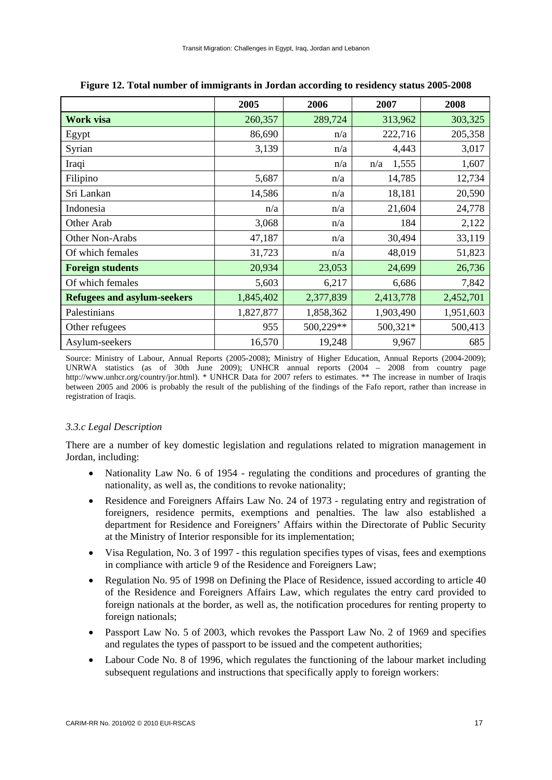|                                    | 2005      | 2006      | 2007         | 2008      |
|------------------------------------|-----------|-----------|--------------|-----------|
| Work visa                          | 260,357   | 289,724   | 313,962      | 303,325   |
| Egypt                              | 86,690    | n/a       | 222,716      | 205,358   |
| Syrian                             | 3,139     | n/a       | 4,443        | 3,017     |
| Iraqi                              |           | n/a       | 1,555<br>n/a | 1,607     |
| Filipino                           | 5,687     | n/a       | 14,785       | 12,734    |
| Sri Lankan                         | 14,586    | n/a       | 18,181       | 20,590    |
| Indonesia                          | n/a       | n/a       | 21,604       | 24,778    |
| Other Arab                         | 3,068     | n/a       | 184          | 2,122     |
| Other Non-Arabs                    | 47,187    | n/a       | 30,494       | 33,119    |
| Of which females                   | 31,723    | n/a       | 48,019       | 51,823    |
| <b>Foreign students</b>            | 20,934    | 23,053    | 24,699       | 26,736    |
| Of which females                   | 5,603     | 6,217     | 6,686        | 7,842     |
| <b>Refugees and asylum-seekers</b> | 1,845,402 | 2,377,839 | 2,413,778    | 2,452,701 |
| Palestinians                       | 1,827,877 | 1,858,362 | 1,903,490    | 1,951,603 |
| Other refugees                     | 955       | 500,229** | 500,321*     | 500,413   |
| Asylum-seekers                     | 16,570    | 19,248    | 9,967        | 685       |

**Figure 12. Total number of immigrants in Jordan according to residency status 2005-2008** 

Source: Ministry of Labour, Annual Reports (2005-2008); Ministry of Higher Education, Annual Reports (2004-2009); UNRWA statistics (as of 30th June 2009); UNHCR annual reports (2004 – 2008 from country page http://www.unhcr.org/country/jor.html). \* UNHCR Data for 2007 refers to estimates. \*\* The increase in number of Iraqis between 2005 and 2006 is probably the result of the publishing of the findings of the Fafo report, rather than increase in registration of Iraqis.

# *3.3.c Legal Description*

There are a number of key domestic legislation and regulations related to migration management in Jordan, including:

- Nationality Law No. 6 of 1954 regulating the conditions and procedures of granting the nationality, as well as, the conditions to revoke nationality;
- Residence and Foreigners Affairs Law No. 24 of 1973 regulating entry and registration of foreigners, residence permits, exemptions and penalties. The law also established a department for Residence and Foreigners' Affairs within the Directorate of Public Security at the Ministry of Interior responsible for its implementation;
- Visa Regulation, No. 3 of 1997 this regulation specifies types of visas, fees and exemptions in compliance with article 9 of the Residence and Foreigners Law;
- Regulation No. 95 of 1998 on Defining the Place of Residence, issued according to article 40 of the Residence and Foreigners Affairs Law, which regulates the entry card provided to foreign nationals at the border, as well as, the notification procedures for renting property to foreign nationals;
- Passport Law No. 5 of 2003, which revokes the Passport Law No. 2 of 1969 and specifies and regulates the types of passport to be issued and the competent authorities;
- Labour Code No. 8 of 1996, which regulates the functioning of the labour market including subsequent regulations and instructions that specifically apply to foreign workers: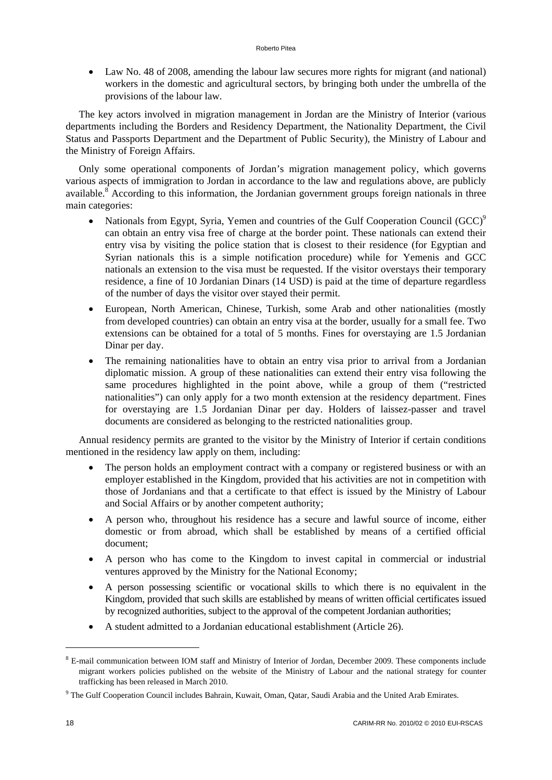Law No. 48 of 2008, amending the labour law secures more rights for migrant (and national) workers in the domestic and agricultural sectors, by bringing both under the umbrella of the provisions of the labour law.

The key actors involved in migration management in Jordan are the Ministry of Interior (various departments including the Borders and Residency Department, the Nationality Department, the Civil Status and Passports Department and the Department of Public Security), the Ministry of Labour and the Ministry of Foreign Affairs.

Only some operational components of Jordan's migration management policy, which governs various aspects of immigration to Jordan in accordance to the law and regulations above, are publicly available.<sup>8</sup> According to this information, the Jordanian government groups foreign nationals in three main categories:

- Nationals from Egypt, Syria, Yemen and countries of the Gulf Cooperation Council  $(GCC)^9$ can obtain an entry visa free of charge at the border point. These nationals can extend their entry visa by visiting the police station that is closest to their residence (for Egyptian and Syrian nationals this is a simple notification procedure) while for Yemenis and GCC nationals an extension to the visa must be requested. If the visitor overstays their temporary residence, a fine of 10 Jordanian Dinars (14 USD) is paid at the time of departure regardless of the number of days the visitor over stayed their permit.
- European, North American, Chinese, Turkish, some Arab and other nationalities (mostly from developed countries) can obtain an entry visa at the border, usually for a small fee. Two extensions can be obtained for a total of 5 months. Fines for overstaying are 1.5 Jordanian Dinar per day.
- The remaining nationalities have to obtain an entry visa prior to arrival from a Jordanian diplomatic mission. A group of these nationalities can extend their entry visa following the same procedures highlighted in the point above, while a group of them ("restricted nationalities") can only apply for a two month extension at the residency department. Fines for overstaying are 1.5 Jordanian Dinar per day. Holders of laissez-passer and travel documents are considered as belonging to the restricted nationalities group.

Annual residency permits are granted to the visitor by the Ministry of Interior if certain conditions mentioned in the residency law apply on them, including:

- The person holds an employment contract with a company or registered business or with an employer established in the Kingdom, provided that his activities are not in competition with those of Jordanians and that a certificate to that effect is issued by the Ministry of Labour and Social Affairs or by another competent authority;
- A person who, throughout his residence has a secure and lawful source of income, either domestic or from abroad, which shall be established by means of a certified official document;
- A person who has come to the Kingdom to invest capital in commercial or industrial ventures approved by the Ministry for the National Economy;
- A person possessing scientific or vocational skills to which there is no equivalent in the Kingdom, provided that such skills are established by means of written official certificates issued by recognized authorities, subject to the approval of the competent Jordanian authorities;
- A student admitted to a Jordanian educational establishment (Article 26).

1

<sup>&</sup>lt;sup>8</sup> E-mail communication between IOM staff and Ministry of Interior of Jordan, December 2009. These components include migrant workers policies published on the website of the Ministry of Labour and the national strategy for counter trafficking has been released in March 2010.

<sup>&</sup>lt;sup>9</sup> The Gulf Cooperation Council includes Bahrain, Kuwait, Oman, Qatar, Saudi Arabia and the United Arab Emirates.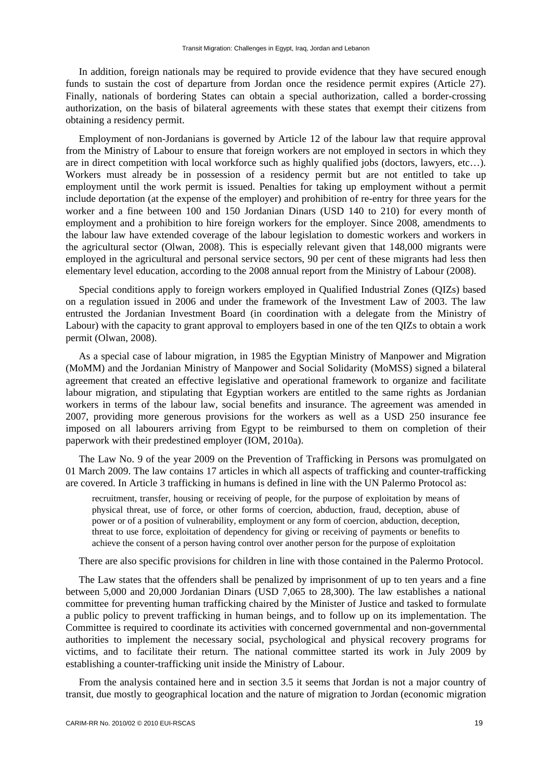In addition, foreign nationals may be required to provide evidence that they have secured enough funds to sustain the cost of departure from Jordan once the residence permit expires (Article 27). Finally, nationals of bordering States can obtain a special authorization, called a border-crossing authorization, on the basis of bilateral agreements with these states that exempt their citizens from obtaining a residency permit.

Employment of non-Jordanians is governed by Article 12 of the labour law that require approval from the Ministry of Labour to ensure that foreign workers are not employed in sectors in which they are in direct competition with local workforce such as highly qualified jobs (doctors, lawyers, etc…). Workers must already be in possession of a residency permit but are not entitled to take up employment until the work permit is issued. Penalties for taking up employment without a permit include deportation (at the expense of the employer) and prohibition of re-entry for three years for the worker and a fine between 100 and 150 Jordanian Dinars (USD 140 to 210) for every month of employment and a prohibition to hire foreign workers for the employer. Since 2008, amendments to the labour law have extended coverage of the labour legislation to domestic workers and workers in the agricultural sector (Olwan, 2008). This is especially relevant given that 148,000 migrants were employed in the agricultural and personal service sectors, 90 per cent of these migrants had less then elementary level education, according to the 2008 annual report from the Ministry of Labour (2008).

Special conditions apply to foreign workers employed in Qualified Industrial Zones (QIZs) based on a regulation issued in 2006 and under the framework of the Investment Law of 2003. The law entrusted the Jordanian Investment Board (in coordination with a delegate from the Ministry of Labour) with the capacity to grant approval to employers based in one of the ten QIZs to obtain a work permit (Olwan, 2008).

As a special case of labour migration, in 1985 the Egyptian Ministry of Manpower and Migration (MoMM) and the Jordanian Ministry of Manpower and Social Solidarity (MoMSS) signed a bilateral agreement that created an effective legislative and operational framework to organize and facilitate labour migration, and stipulating that Egyptian workers are entitled to the same rights as Jordanian workers in terms of the labour law, social benefits and insurance. The agreement was amended in 2007, providing more generous provisions for the workers as well as a USD 250 insurance fee imposed on all labourers arriving from Egypt to be reimbursed to them on completion of their paperwork with their predestined employer (IOM, 2010a).

The Law No. 9 of the year 2009 on the Prevention of Trafficking in Persons was promulgated on 01 March 2009. The law contains 17 articles in which all aspects of trafficking and counter-trafficking are covered. In Article 3 trafficking in humans is defined in line with the UN Palermo Protocol as:

recruitment, transfer, housing or receiving of people, for the purpose of exploitation by means of physical threat, use of force, or other forms of coercion, abduction, fraud, deception, abuse of power or of a position of vulnerability, employment or any form of coercion, abduction, deception, threat to use force, exploitation of dependency for giving or receiving of payments or benefits to achieve the consent of a person having control over another person for the purpose of exploitation

There are also specific provisions for children in line with those contained in the Palermo Protocol.

The Law states that the offenders shall be penalized by imprisonment of up to ten years and a fine between 5,000 and 20,000 Jordanian Dinars (USD 7,065 to 28,300). The law establishes a national committee for preventing human trafficking chaired by the Minister of Justice and tasked to formulate a public policy to prevent trafficking in human beings, and to follow up on its implementation. The Committee is required to coordinate its activities with concerned governmental and non-governmental authorities to implement the necessary social, psychological and physical recovery programs for victims, and to facilitate their return. The national committee started its work in July 2009 by establishing a counter-trafficking unit inside the Ministry of Labour.

From the analysis contained here and in section 3.5 it seems that Jordan is not a major country of transit, due mostly to geographical location and the nature of migration to Jordan (economic migration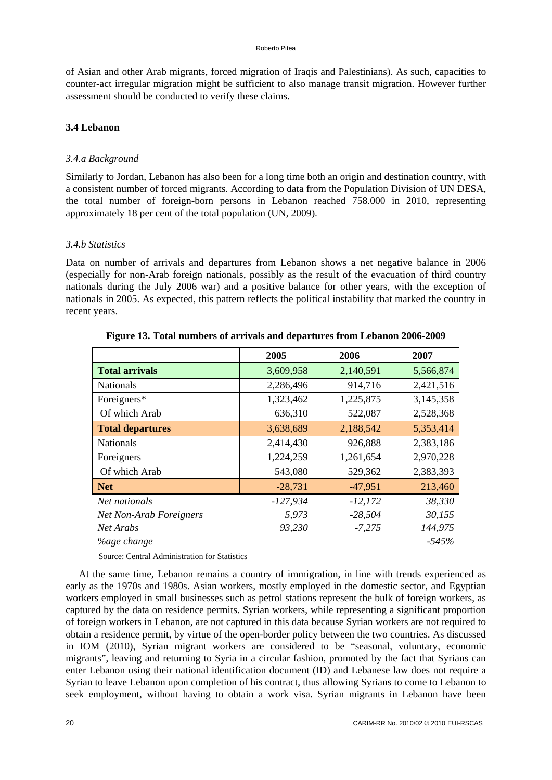of Asian and other Arab migrants, forced migration of Iraqis and Palestinians). As such, capacities to counter-act irregular migration might be sufficient to also manage transit migration. However further assessment should be conducted to verify these claims.

# **3.4 Lebanon**

# *3.4.a Background*

Similarly to Jordan, Lebanon has also been for a long time both an origin and destination country, with a consistent number of forced migrants. According to data from the Population Division of UN DESA, the total number of foreign-born persons in Lebanon reached 758.000 in 2010, representing approximately 18 per cent of the total population (UN, 2009).

# *3.4.b Statistics*

Data on number of arrivals and departures from Lebanon shows a net negative balance in 2006 (especially for non-Arab foreign nationals, possibly as the result of the evacuation of third country nationals during the July 2006 war) and a positive balance for other years, with the exception of nationals in 2005. As expected, this pattern reflects the political instability that marked the country in recent years.

|                                | 2005       | 2006      | 2007      |
|--------------------------------|------------|-----------|-----------|
| <b>Total arrivals</b>          | 3,609,958  | 2,140,591 | 5,566,874 |
| <b>Nationals</b>               | 2,286,496  | 914,716   | 2,421,516 |
| Foreigners*                    | 1,323,462  | 1,225,875 | 3,145,358 |
| Of which Arab                  | 636,310    | 522,087   | 2,528,368 |
| <b>Total departures</b>        | 3,638,689  | 2,188,542 | 5,353,414 |
| <b>Nationals</b>               | 2,414,430  | 926,888   | 2,383,186 |
| Foreigners                     | 1,224,259  | 1,261,654 | 2,970,228 |
| Of which Arab                  | 543,080    | 529,362   | 2,383,393 |
| <b>Net</b>                     | $-28,731$  | $-47,951$ | 213,460   |
| Net nationals                  | $-127,934$ | $-12,172$ | 38,330    |
| <b>Net Non-Arab Foreigners</b> | 5,973      | $-28,504$ | 30,155    |
| Net Arabs                      | 93,230     | $-7,275$  | 144,975   |
| <i>Yoage change</i>            |            |           | $-545%$   |

**Figure 13. Total numbers of arrivals and departures from Lebanon 2006-2009** 

Source: Central Administration for Statistics

At the same time, Lebanon remains a country of immigration, in line with trends experienced as early as the 1970s and 1980s. Asian workers, mostly employed in the domestic sector, and Egyptian workers employed in small businesses such as petrol stations represent the bulk of foreign workers, as captured by the data on residence permits. Syrian workers, while representing a significant proportion of foreign workers in Lebanon, are not captured in this data because Syrian workers are not required to obtain a residence permit, by virtue of the open-border policy between the two countries. As discussed in IOM (2010), Syrian migrant workers are considered to be "seasonal, voluntary, economic migrants", leaving and returning to Syria in a circular fashion, promoted by the fact that Syrians can enter Lebanon using their national identification document (ID) and Lebanese law does not require a Syrian to leave Lebanon upon completion of his contract, thus allowing Syrians to come to Lebanon to seek employment, without having to obtain a work visa. Syrian migrants in Lebanon have been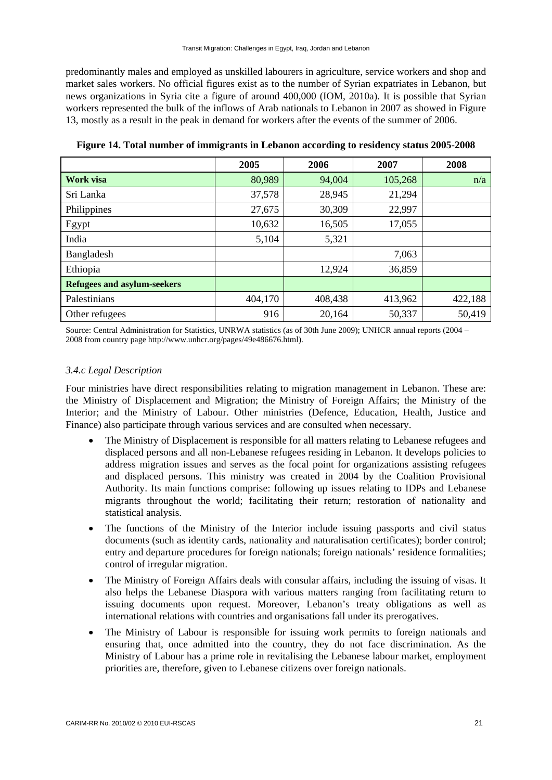predominantly males and employed as unskilled labourers in agriculture, service workers and shop and market sales workers. No official figures exist as to the number of Syrian expatriates in Lebanon, but news organizations in Syria cite a figure of around 400,000 (IOM, 2010a). It is possible that Syrian workers represented the bulk of the inflows of Arab nationals to Lebanon in 2007 as showed in Figure 13, mostly as a result in the peak in demand for workers after the events of the summer of 2006.

|                                    | 2005    | 2006    | 2007    | 2008    |
|------------------------------------|---------|---------|---------|---------|
| <b>Work visa</b>                   | 80,989  | 94,004  | 105,268 | n/a     |
| Sri Lanka                          | 37,578  | 28,945  | 21,294  |         |
| Philippines                        | 27,675  | 30,309  | 22,997  |         |
| Egypt                              | 10,632  | 16,505  | 17,055  |         |
| India                              | 5,104   | 5,321   |         |         |
| Bangladesh                         |         |         | 7,063   |         |
| Ethiopia                           |         | 12,924  | 36,859  |         |
| <b>Refugees and asylum-seekers</b> |         |         |         |         |
| Palestinians                       | 404,170 | 408,438 | 413,962 | 422,188 |
| Other refugees                     | 916     | 20,164  | 50,337  | 50,419  |

**Figure 14. Total number of immigrants in Lebanon according to residency status 2005-2008** 

Source: Central Administration for Statistics, UNRWA statistics (as of 30th June 2009); UNHCR annual reports (2004 – 2008 from country page http://www.unhcr.org/pages/49e486676.html).

# *3.4.c Legal Description*

Four ministries have direct responsibilities relating to migration management in Lebanon. These are: the Ministry of Displacement and Migration; the Ministry of Foreign Affairs; the Ministry of the Interior; and the Ministry of Labour. Other ministries (Defence, Education, Health, Justice and Finance) also participate through various services and are consulted when necessary.

- The Ministry of Displacement is responsible for all matters relating to Lebanese refugees and displaced persons and all non-Lebanese refugees residing in Lebanon. It develops policies to address migration issues and serves as the focal point for organizations assisting refugees and displaced persons. This ministry was created in 2004 by the Coalition Provisional Authority. Its main functions comprise: following up issues relating to IDPs and Lebanese migrants throughout the world; facilitating their return; restoration of nationality and statistical analysis.
- The functions of the Ministry of the Interior include issuing passports and civil status documents (such as identity cards, nationality and naturalisation certificates); border control; entry and departure procedures for foreign nationals; foreign nationals' residence formalities; control of irregular migration.
- The Ministry of Foreign Affairs deals with consular affairs, including the issuing of visas. It also helps the Lebanese Diaspora with various matters ranging from facilitating return to issuing documents upon request. Moreover, Lebanon's treaty obligations as well as international relations with countries and organisations fall under its prerogatives.
- The Ministry of Labour is responsible for issuing work permits to foreign nationals and ensuring that, once admitted into the country, they do not face discrimination. As the Ministry of Labour has a prime role in revitalising the Lebanese labour market, employment priorities are, therefore, given to Lebanese citizens over foreign nationals.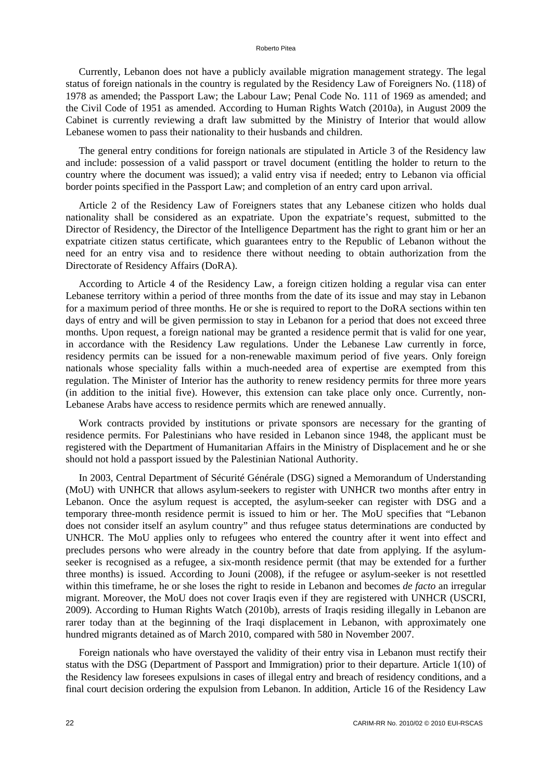#### Roberto Pitea

Currently, Lebanon does not have a publicly available migration management strategy. The legal status of foreign nationals in the country is regulated by the Residency Law of Foreigners No. (118) of 1978 as amended; the Passport Law; the Labour Law; Penal Code No. 111 of 1969 as amended; and the Civil Code of 1951 as amended. According to Human Rights Watch (2010a), in August 2009 the Cabinet is currently reviewing a draft law submitted by the Ministry of Interior that would allow Lebanese women to pass their nationality to their husbands and children.

The general entry conditions for foreign nationals are stipulated in Article 3 of the Residency law and include: possession of a valid passport or travel document (entitling the holder to return to the country where the document was issued); a valid entry visa if needed; entry to Lebanon via official border points specified in the Passport Law; and completion of an entry card upon arrival.

Article 2 of the Residency Law of Foreigners states that any Lebanese citizen who holds dual nationality shall be considered as an expatriate. Upon the expatriate's request, submitted to the Director of Residency, the Director of the Intelligence Department has the right to grant him or her an expatriate citizen status certificate, which guarantees entry to the Republic of Lebanon without the need for an entry visa and to residence there without needing to obtain authorization from the Directorate of Residency Affairs (DoRA).

According to Article 4 of the Residency Law, a foreign citizen holding a regular visa can enter Lebanese territory within a period of three months from the date of its issue and may stay in Lebanon for a maximum period of three months. He or she is required to report to the DoRA sections within ten days of entry and will be given permission to stay in Lebanon for a period that does not exceed three months. Upon request, a foreign national may be granted a residence permit that is valid for one year, in accordance with the Residency Law regulations. Under the Lebanese Law currently in force, residency permits can be issued for a non-renewable maximum period of five years. Only foreign nationals whose speciality falls within a much-needed area of expertise are exempted from this regulation. The Minister of Interior has the authority to renew residency permits for three more years (in addition to the initial five). However, this extension can take place only once. Currently, non-Lebanese Arabs have access to residence permits which are renewed annually.

Work contracts provided by institutions or private sponsors are necessary for the granting of residence permits. For Palestinians who have resided in Lebanon since 1948, the applicant must be registered with the Department of Humanitarian Affairs in the Ministry of Displacement and he or she should not hold a passport issued by the Palestinian National Authority.

In 2003, Central Department of Sécurité Générale (DSG) signed a Memorandum of Understanding (MoU) with UNHCR that allows asylum-seekers to register with UNHCR two months after entry in Lebanon. Once the asylum request is accepted, the asylum-seeker can register with DSG and a temporary three-month residence permit is issued to him or her. The MoU specifies that "Lebanon does not consider itself an asylum country" and thus refugee status determinations are conducted by UNHCR. The MoU applies only to refugees who entered the country after it went into effect and precludes persons who were already in the country before that date from applying. If the asylumseeker is recognised as a refugee, a six-month residence permit (that may be extended for a further three months) is issued. According to Jouni (2008), if the refugee or asylum-seeker is not resettled within this timeframe, he or she loses the right to reside in Lebanon and becomes *de facto* an irregular migrant. Moreover, the MoU does not cover Iraqis even if they are registered with UNHCR (USCRI, 2009). According to Human Rights Watch (2010b), arrests of Iraqis residing illegally in Lebanon are rarer today than at the beginning of the Iraqi displacement in Lebanon, with approximately one hundred migrants detained as of March 2010, compared with 580 in November 2007.

Foreign nationals who have overstayed the validity of their entry visa in Lebanon must rectify their status with the DSG (Department of Passport and Immigration) prior to their departure. Article 1(10) of the Residency law foresees expulsions in cases of illegal entry and breach of residency conditions, and a final court decision ordering the expulsion from Lebanon. In addition, Article 16 of the Residency Law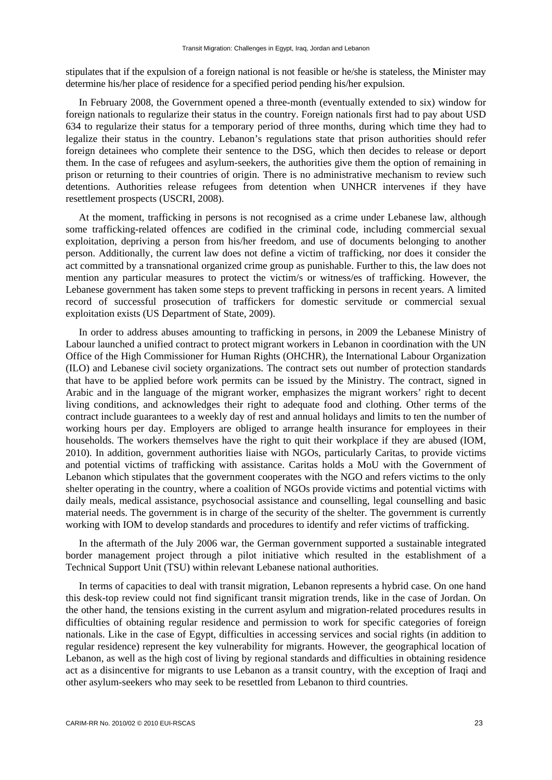stipulates that if the expulsion of a foreign national is not feasible or he/she is stateless, the Minister may determine his/her place of residence for a specified period pending his/her expulsion.

In February 2008, the Government opened a three-month (eventually extended to six) window for foreign nationals to regularize their status in the country. Foreign nationals first had to pay about USD 634 to regularize their status for a temporary period of three months, during which time they had to legalize their status in the country. Lebanon's regulations state that prison authorities should refer foreign detainees who complete their sentence to the DSG, which then decides to release or deport them. In the case of refugees and asylum-seekers, the authorities give them the option of remaining in prison or returning to their countries of origin. There is no administrative mechanism to review such detentions. Authorities release refugees from detention when UNHCR intervenes if they have resettlement prospects (USCRI, 2008).

At the moment, trafficking in persons is not recognised as a crime under Lebanese law, although some trafficking-related offences are codified in the criminal code, including commercial sexual exploitation, depriving a person from his/her freedom, and use of documents belonging to another person. Additionally, the current law does not define a victim of trafficking, nor does it consider the act committed by a transnational organized crime group as punishable. Further to this, the law does not mention any particular measures to protect the victim/s or witness/es of trafficking. However, the Lebanese government has taken some steps to prevent trafficking in persons in recent years. A limited record of successful prosecution of traffickers for domestic servitude or commercial sexual exploitation exists (US Department of State, 2009).

In order to address abuses amounting to trafficking in persons, in 2009 the Lebanese Ministry of Labour launched a unified contract to protect migrant workers in Lebanon in coordination with the UN Office of the High Commissioner for Human Rights (OHCHR), the International Labour Organization (ILO) and Lebanese civil society organizations. The contract sets out number of protection standards that have to be applied before work permits can be issued by the Ministry. The contract, signed in Arabic and in the language of the migrant worker, emphasizes the migrant workers' right to decent living conditions, and acknowledges their right to adequate food and clothing. Other terms of the contract include guarantees to a weekly day of rest and annual holidays and limits to ten the number of working hours per day. Employers are obliged to arrange health insurance for employees in their households. The workers themselves have the right to quit their workplace if they are abused (IOM, 2010). In addition, government authorities liaise with NGOs, particularly Caritas, to provide victims and potential victims of trafficking with assistance. Caritas holds a MoU with the Government of Lebanon which stipulates that the government cooperates with the NGO and refers victims to the only shelter operating in the country, where a coalition of NGOs provide victims and potential victims with daily meals, medical assistance, psychosocial assistance and counselling, legal counselling and basic material needs. The government is in charge of the security of the shelter. The government is currently working with IOM to develop standards and procedures to identify and refer victims of trafficking.

In the aftermath of the July 2006 war, the German government supported a sustainable integrated border management project through a pilot initiative which resulted in the establishment of a Technical Support Unit (TSU) within relevant Lebanese national authorities.

In terms of capacities to deal with transit migration, Lebanon represents a hybrid case. On one hand this desk-top review could not find significant transit migration trends, like in the case of Jordan. On the other hand, the tensions existing in the current asylum and migration-related procedures results in difficulties of obtaining regular residence and permission to work for specific categories of foreign nationals. Like in the case of Egypt, difficulties in accessing services and social rights (in addition to regular residence) represent the key vulnerability for migrants. However, the geographical location of Lebanon, as well as the high cost of living by regional standards and difficulties in obtaining residence act as a disincentive for migrants to use Lebanon as a transit country, with the exception of Iraqi and other asylum-seekers who may seek to be resettled from Lebanon to third countries.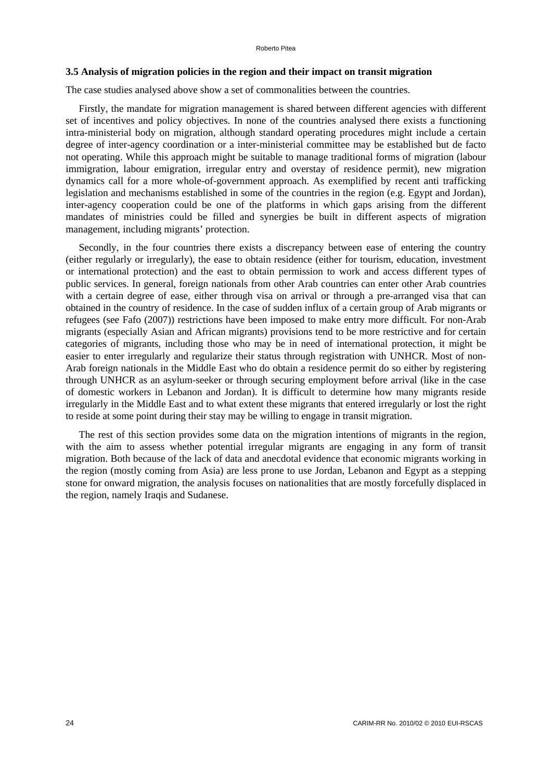### **3.5 Analysis of migration policies in the region and their impact on transit migration**

The case studies analysed above show a set of commonalities between the countries.

Firstly, the mandate for migration management is shared between different agencies with different set of incentives and policy objectives. In none of the countries analysed there exists a functioning intra-ministerial body on migration, although standard operating procedures might include a certain degree of inter-agency coordination or a inter-ministerial committee may be established but de facto not operating. While this approach might be suitable to manage traditional forms of migration (labour immigration, labour emigration, irregular entry and overstay of residence permit), new migration dynamics call for a more whole-of-government approach. As exemplified by recent anti trafficking legislation and mechanisms established in some of the countries in the region (e.g. Egypt and Jordan), inter-agency cooperation could be one of the platforms in which gaps arising from the different mandates of ministries could be filled and synergies be built in different aspects of migration management, including migrants' protection.

Secondly, in the four countries there exists a discrepancy between ease of entering the country (either regularly or irregularly), the ease to obtain residence (either for tourism, education, investment or international protection) and the east to obtain permission to work and access different types of public services. In general, foreign nationals from other Arab countries can enter other Arab countries with a certain degree of ease, either through visa on arrival or through a pre-arranged visa that can obtained in the country of residence. In the case of sudden influx of a certain group of Arab migrants or refugees (see Fafo (2007)) restrictions have been imposed to make entry more difficult. For non-Arab migrants (especially Asian and African migrants) provisions tend to be more restrictive and for certain categories of migrants, including those who may be in need of international protection, it might be easier to enter irregularly and regularize their status through registration with UNHCR. Most of non-Arab foreign nationals in the Middle East who do obtain a residence permit do so either by registering through UNHCR as an asylum-seeker or through securing employment before arrival (like in the case of domestic workers in Lebanon and Jordan). It is difficult to determine how many migrants reside irregularly in the Middle East and to what extent these migrants that entered irregularly or lost the right to reside at some point during their stay may be willing to engage in transit migration.

The rest of this section provides some data on the migration intentions of migrants in the region, with the aim to assess whether potential irregular migrants are engaging in any form of transit migration. Both because of the lack of data and anecdotal evidence that economic migrants working in the region (mostly coming from Asia) are less prone to use Jordan, Lebanon and Egypt as a stepping stone for onward migration, the analysis focuses on nationalities that are mostly forcefully displaced in the region, namely Iraqis and Sudanese.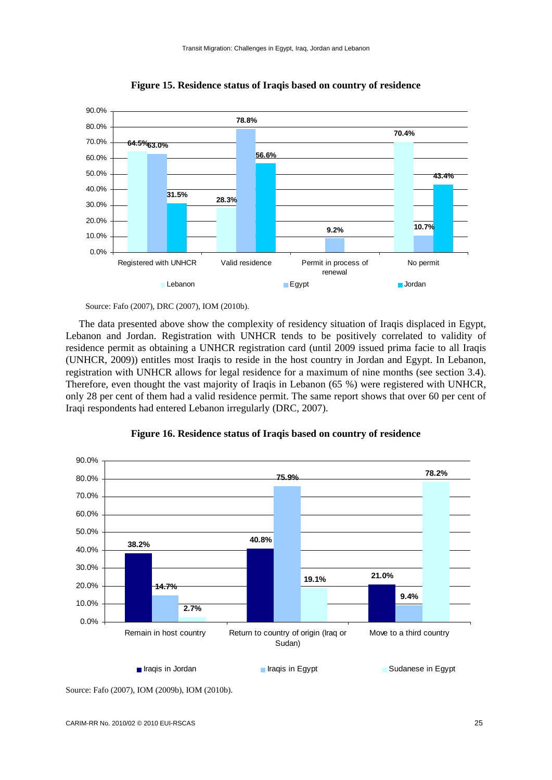

**Figure 15. Residence status of Iraqis based on country of residence** 

The data presented above show the complexity of residency situation of Iraqis displaced in Egypt, Lebanon and Jordan. Registration with UNHCR tends to be positively correlated to validity of residence permit as obtaining a UNHCR registration card (until 2009 issued prima facie to all Iraqis (UNHCR, 2009)) entitles most Iraqis to reside in the host country in Jordan and Egypt. In Lebanon, registration with UNHCR allows for legal residence for a maximum of nine months (see section 3.4). Therefore, even thought the vast majority of Iraqis in Lebanon (65 %) were registered with UNHCR, only 28 per cent of them had a valid residence permit. The same report shows that over 60 per cent of Iraqi respondents had entered Lebanon irregularly (DRC, 2007).



### **Figure 16. Residence status of Iraqis based on country of residence**

Source: Fafo (2007), IOM (2009b), IOM (2010b).

Source: Fafo (2007), DRC (2007), IOM (2010b).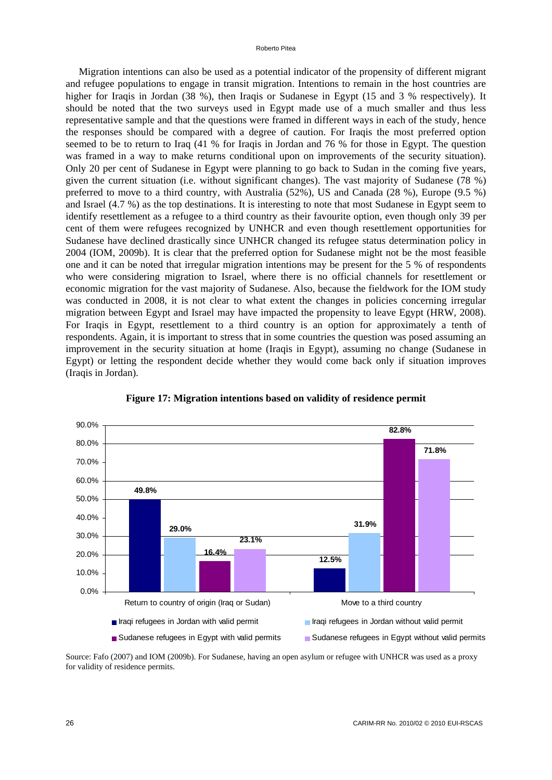Migration intentions can also be used as a potential indicator of the propensity of different migrant and refugee populations to engage in transit migration. Intentions to remain in the host countries are higher for Iraqis in Jordan (38 %), then Iraqis or Sudanese in Egypt (15 and 3 % respectively). It should be noted that the two surveys used in Egypt made use of a much smaller and thus less representative sample and that the questions were framed in different ways in each of the study, hence the responses should be compared with a degree of caution. For Iraqis the most preferred option seemed to be to return to Iraq (41 % for Iraqis in Jordan and 76 % for those in Egypt. The question was framed in a way to make returns conditional upon on improvements of the security situation). Only 20 per cent of Sudanese in Egypt were planning to go back to Sudan in the coming five years, given the current situation (i.e. without significant changes). The vast majority of Sudanese (78 %) preferred to move to a third country, with Australia (52%), US and Canada (28 %), Europe (9.5 %) and Israel (4.7 %) as the top destinations. It is interesting to note that most Sudanese in Egypt seem to identify resettlement as a refugee to a third country as their favourite option, even though only 39 per cent of them were refugees recognized by UNHCR and even though resettlement opportunities for Sudanese have declined drastically since UNHCR changed its refugee status determination policy in 2004 (IOM, 2009b). It is clear that the preferred option for Sudanese might not be the most feasible one and it can be noted that irregular migration intentions may be present for the 5 % of respondents who were considering migration to Israel, where there is no official channels for resettlement or economic migration for the vast majority of Sudanese. Also, because the fieldwork for the IOM study was conducted in 2008, it is not clear to what extent the changes in policies concerning irregular migration between Egypt and Israel may have impacted the propensity to leave Egypt (HRW, 2008). For Iraqis in Egypt, resettlement to a third country is an option for approximately a tenth of respondents. Again, it is important to stress that in some countries the question was posed assuming an improvement in the security situation at home (Iraqis in Egypt), assuming no change (Sudanese in Egypt) or letting the respondent decide whether they would come back only if situation improves (Iraqis in Jordan).



**Figure 17: Migration intentions based on validity of residence permit** 

Source: Fafo (2007) and IOM (2009b). For Sudanese, having an open asylum or refugee with UNHCR was used as a proxy for validity of residence permits.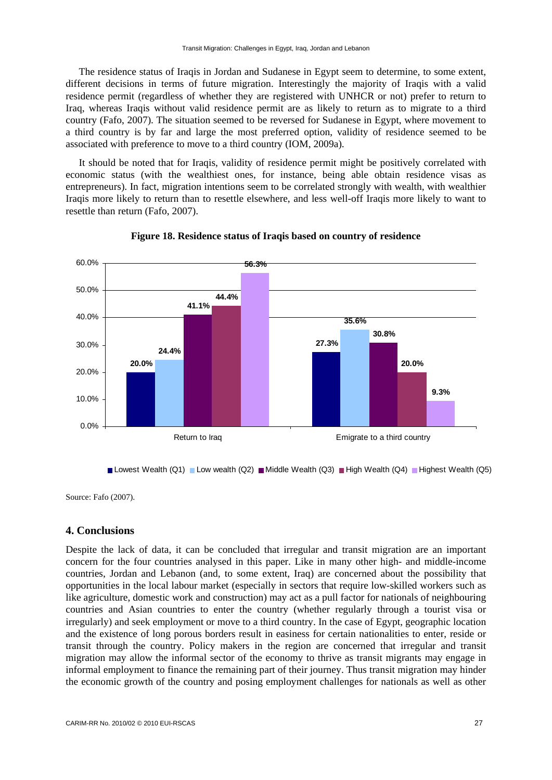The residence status of Iraqis in Jordan and Sudanese in Egypt seem to determine, to some extent, different decisions in terms of future migration. Interestingly the majority of Iraqis with a valid residence permit (regardless of whether they are registered with UNHCR or not) prefer to return to Iraq, whereas Iraqis without valid residence permit are as likely to return as to migrate to a third country (Fafo, 2007). The situation seemed to be reversed for Sudanese in Egypt, where movement to a third country is by far and large the most preferred option, validity of residence seemed to be associated with preference to move to a third country (IOM, 2009a).

It should be noted that for Iraqis, validity of residence permit might be positively correlated with economic status (with the wealthiest ones, for instance, being able obtain residence visas as entrepreneurs). In fact, migration intentions seem to be correlated strongly with wealth, with wealthier Iraqis more likely to return than to resettle elsewhere, and less well-off Iraqis more likely to want to resettle than return (Fafo, 2007).



**Figure 18. Residence status of Iraqis based on country of residence** 

Lowest Wealth (Q1) Low wealth (Q2) Middle Wealth (Q3) High Wealth (Q4) Highest Wealth (Q5)

Source: Fafo (2007).

### **4. Conclusions**

Despite the lack of data, it can be concluded that irregular and transit migration are an important concern for the four countries analysed in this paper. Like in many other high- and middle-income countries, Jordan and Lebanon (and, to some extent, Iraq) are concerned about the possibility that opportunities in the local labour market (especially in sectors that require low-skilled workers such as like agriculture, domestic work and construction) may act as a pull factor for nationals of neighbouring countries and Asian countries to enter the country (whether regularly through a tourist visa or irregularly) and seek employment or move to a third country. In the case of Egypt, geographic location and the existence of long porous borders result in easiness for certain nationalities to enter, reside or transit through the country. Policy makers in the region are concerned that irregular and transit migration may allow the informal sector of the economy to thrive as transit migrants may engage in informal employment to finance the remaining part of their journey. Thus transit migration may hinder the economic growth of the country and posing employment challenges for nationals as well as other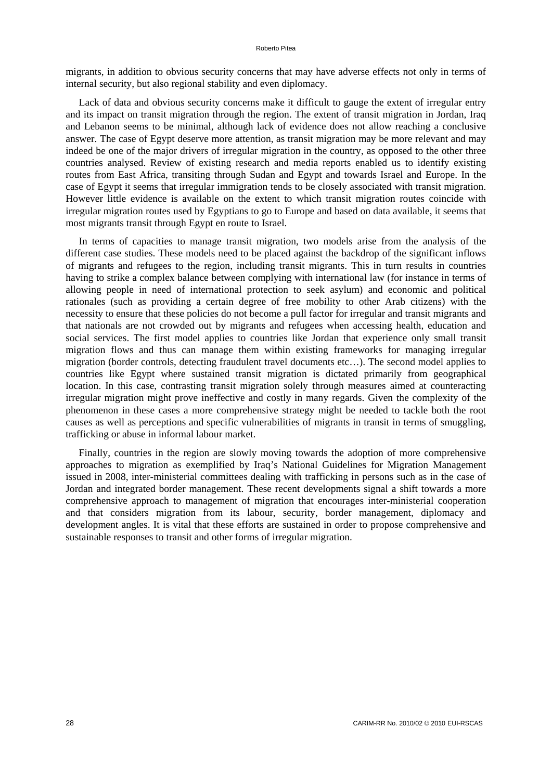migrants, in addition to obvious security concerns that may have adverse effects not only in terms of internal security, but also regional stability and even diplomacy.

Lack of data and obvious security concerns make it difficult to gauge the extent of irregular entry and its impact on transit migration through the region. The extent of transit migration in Jordan, Iraq and Lebanon seems to be minimal, although lack of evidence does not allow reaching a conclusive answer. The case of Egypt deserve more attention, as transit migration may be more relevant and may indeed be one of the major drivers of irregular migration in the country, as opposed to the other three countries analysed. Review of existing research and media reports enabled us to identify existing routes from East Africa, transiting through Sudan and Egypt and towards Israel and Europe. In the case of Egypt it seems that irregular immigration tends to be closely associated with transit migration. However little evidence is available on the extent to which transit migration routes coincide with irregular migration routes used by Egyptians to go to Europe and based on data available, it seems that most migrants transit through Egypt en route to Israel.

In terms of capacities to manage transit migration, two models arise from the analysis of the different case studies. These models need to be placed against the backdrop of the significant inflows of migrants and refugees to the region, including transit migrants. This in turn results in countries having to strike a complex balance between complying with international law (for instance in terms of allowing people in need of international protection to seek asylum) and economic and political rationales (such as providing a certain degree of free mobility to other Arab citizens) with the necessity to ensure that these policies do not become a pull factor for irregular and transit migrants and that nationals are not crowded out by migrants and refugees when accessing health, education and social services. The first model applies to countries like Jordan that experience only small transit migration flows and thus can manage them within existing frameworks for managing irregular migration (border controls, detecting fraudulent travel documents etc…). The second model applies to countries like Egypt where sustained transit migration is dictated primarily from geographical location. In this case, contrasting transit migration solely through measures aimed at counteracting irregular migration might prove ineffective and costly in many regards. Given the complexity of the phenomenon in these cases a more comprehensive strategy might be needed to tackle both the root causes as well as perceptions and specific vulnerabilities of migrants in transit in terms of smuggling, trafficking or abuse in informal labour market.

Finally, countries in the region are slowly moving towards the adoption of more comprehensive approaches to migration as exemplified by Iraq's National Guidelines for Migration Management issued in 2008, inter-ministerial committees dealing with trafficking in persons such as in the case of Jordan and integrated border management. These recent developments signal a shift towards a more comprehensive approach to management of migration that encourages inter-ministerial cooperation and that considers migration from its labour, security, border management, diplomacy and development angles. It is vital that these efforts are sustained in order to propose comprehensive and sustainable responses to transit and other forms of irregular migration.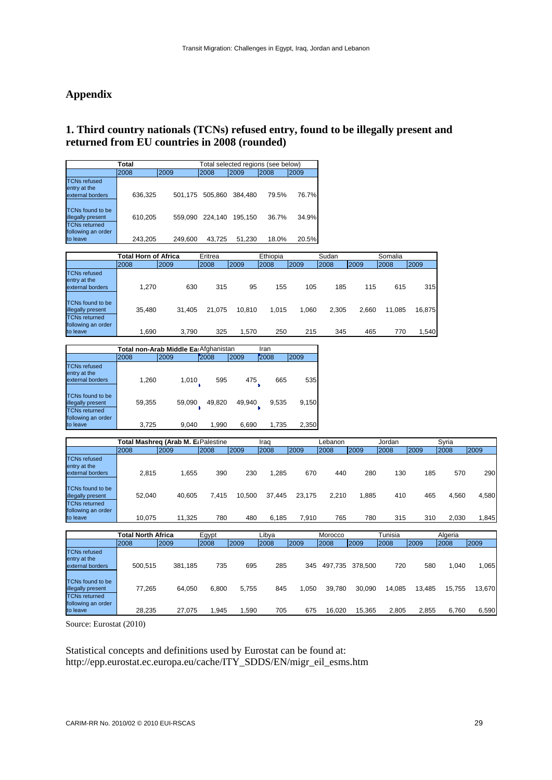# **Appendix**

# **1. Third country nationals (TCNs) refused entry, found to be illegally present and returned from EU countries in 2008 (rounded)**

| Total                                                                |         |         |                 |         | Total selected regions (see below) |       |
|----------------------------------------------------------------------|---------|---------|-----------------|---------|------------------------------------|-------|
|                                                                      | 2008    | 2009    | 2008            | 2009    | 2008                               | 2009  |
| <b>TCNs refused</b><br>entry at the<br>external borders              | 636,325 |         | 501,175 505,860 | 384.480 | 79.5%                              | 76.7% |
| <b>TCNs found to be</b><br>illegally present<br><b>TCNs returned</b> | 610,205 | 559.090 | 224.140         | 195.150 | 36.7%                              | 34.9% |
| following an order<br>to leave                                       | 243,205 | 249,600 | 43.725          | 51,230  | 18.0%                              | 20.5% |

|                                                         | <b>Total Horn of Africa</b> |        | Eritrea |        | Ethiopia |       | Sudan |       | Somalia |        |
|---------------------------------------------------------|-----------------------------|--------|---------|--------|----------|-------|-------|-------|---------|--------|
|                                                         | 2008                        | 2009   | 2008    | 2009   | 2008     | 2009  | 2008  | 2009  | 2008    | 2009   |
| <b>TCNs refused</b><br>entry at the<br>external borders | 1.270                       | 630    | 315     | 95     | 155      | 105   | 185   | 115   | 615     | 315    |
| TCNs found to be<br>illegally present                   | 35.480                      | 31.405 | 21.075  | 10.810 | 1.015    | 1.060 | 2.305 | 2.660 | 11.085  | 16.875 |
| <b>TCNs returned</b><br>following an order<br>to leave  | 1.690                       | 3.790  | 325     | 1,570  | 250      | 215   | 345   | 465   | 770     | .540   |

| Total non-Arab Middle Ea Afghanistan<br>Iran                  |        |        |        |        |       |       |  |  |  |  |
|---------------------------------------------------------------|--------|--------|--------|--------|-------|-------|--|--|--|--|
|                                                               | 2008   | 2009   | 2008   | 2009   | 2008  | 2009  |  |  |  |  |
| <b>TCNs refused</b><br>entry at the<br>external borders       | 1,260  | 1,010  | 595    | 475    | 665   | 535   |  |  |  |  |
| TCNs found to be<br>illegally present<br><b>TCNs returned</b> | 59,355 | 59,090 | 49,820 | 49,940 | 9,535 | 9,150 |  |  |  |  |
| following an order<br>to leave                                | 3,725  | 9.040  | 1.990  | 6.690  | 1.735 | 2,350 |  |  |  |  |

|                                                                      | Total Mashreg (Arab M. E: Palestine |         |                |        | Lebanon<br>Iraq |        |         |         | Jordan  |      | Svria |       |
|----------------------------------------------------------------------|-------------------------------------|---------|----------------|--------|-----------------|--------|---------|---------|---------|------|-------|-------|
|                                                                      | 2008                                | 2009    | 2008           | 2009   | 2008            | 2009   | 2008    | 2009    | 2008    | 2009 | 2008  | 2009  |
| <b>TCNs refused</b><br>entry at the<br>external borders              | 2.815                               | 1,655   | 390            | 230    | 1,285           | 670    | 440     | 280     | 130     | 185  | 570   | 290   |
| <b>TCNs found to be</b><br>illegally present<br><b>TCNs returned</b> | 52.040                              | 40.605  | 7.415          | 10,500 | 37.445          | 23.175 | 2,210   | 1.885   | 410     | 465  | 4,560 | 4,580 |
| following an order<br>to leave                                       | 10.075                              | 11,325  | 780            | 480    | 6,185           | 7.910  | 765     | 780     | 315     | 310  | 2,030 | 1,845 |
|                                                                      | <b>Total North Africa</b>           |         | Egypt<br>Libya |        | Morocco         |        | Tunisia |         | Algeria |      |       |       |
|                                                                      | 2008                                | 2009    | 2008           | 2009   | 2008            | 2009   | 2008    | 2009    | 2008    | 2009 | 2008  | 2009  |
| <b>TCNs refused</b><br>entry at the<br>external borders              | 500.515                             | 381.185 | 735            | 695    | 285             | 345    | 497.735 | 378.500 | 720     | 580  | 1.040 | 1,065 |

illegally present 77,265 64,050 6,800 5,755 845 1,050 39,780 30,090 14,085 13,485 15,755 13,670

to leave 28,235 27,075 1,945 1,590 705 675 16,020 15,365 2,805 2,855 6,760 6,590

Source: Eurostat (2010)

TCNs found to be

TCNs returned following an order<br>to leave

Statistical concepts and definitions used by Eurostat can be found at: http://epp.eurostat.ec.europa.eu/cache/ITY\_SDDS/EN/migr\_eil\_esms.htm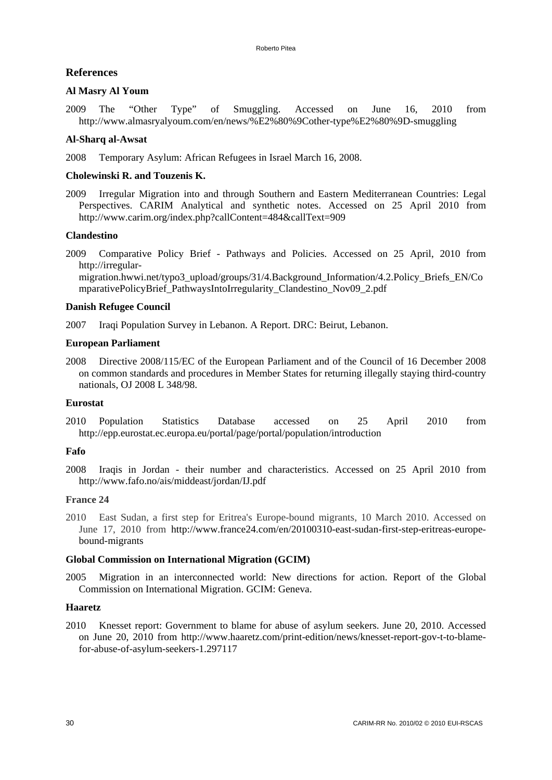# **References**

# **Al Masry Al Youm**

2009 The "Other Type" of Smuggling. Accessed on June 16, 2010 from http://www.almasryalyoum.com/en/news/%E2%80%9Cother-type%E2%80%9D-smuggling

# **Al-Sharq al-Awsat**

2008 Temporary Asylum: African Refugees in Israel March 16, 2008.

# **Cholewinski R. and Touzenis K.**

2009 Irregular Migration into and through Southern and Eastern Mediterranean Countries: Legal Perspectives. CARIM Analytical and synthetic notes. Accessed on 25 April 2010 from http://www.carim.org/index.php?callContent=484&callText=909

# **Clandestino**

2009 Comparative Policy Brief - Pathways and Policies. Accessed on 25 April, 2010 from http://irregular-

migration.hwwi.net/typo3\_upload/groups/31/4.Background\_Information/4.2.Policy\_Briefs\_EN/Co mparativePolicyBrief\_PathwaysIntoIrregularity\_Clandestino\_Nov09\_2.pdf

### **Danish Refugee Council**

2007 Iraqi Population Survey in Lebanon. A Report. DRC: Beirut, Lebanon.

# **European Parliament**

2008 Directive 2008/115/EC of the European Parliament and of the Council of 16 December 2008 on common standards and procedures in Member States for returning illegally staying third-country nationals, OJ 2008 L 348/98.

### **Eurostat**

2010 Population Statistics Database accessed on 25 April 2010 from http://epp.eurostat.ec.europa.eu/portal/page/portal/population/introduction

### **Fafo**

2008 Iraqis in Jordan - their number and characteristics. Accessed on 25 April 2010 from http://www.fafo.no/ais/middeast/jordan/IJ.pdf

### **France 24**

2010 East Sudan, a first step for Eritrea's Europe-bound migrants, 10 March 2010. Accessed on June 17, 2010 from http://www.france24.com/en/20100310-east-sudan-first-step-eritreas-europebound-migrants

### **Global Commission on International Migration (GCIM)**

2005 Migration in an interconnected world: New directions for action. Report of the Global Commission on International Migration. GCIM: Geneva.

### **Haaretz**

2010 Knesset report: Government to blame for abuse of asylum seekers. June 20, 2010. Accessed on June 20, 2010 from http://www.haaretz.com/print-edition/news/knesset-report-gov-t-to-blamefor-abuse-of-asylum-seekers-1.297117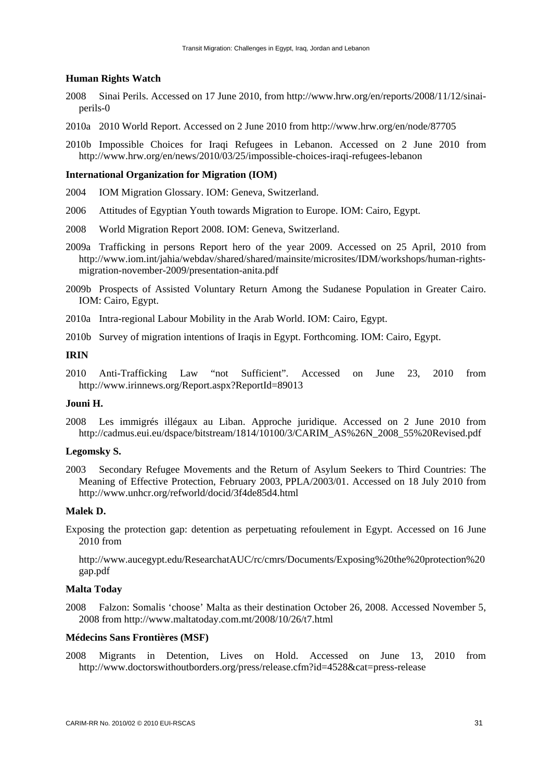### **Human Rights Watch**

- 2008 Sinai Perils. Accessed on 17 June 2010, from http://www.hrw.org/en/reports/2008/11/12/sinaiperils-0
- 2010a 2010 World Report. Accessed on 2 June 2010 from http://www.hrw.org/en/node/87705
- 2010b Impossible Choices for Iraqi Refugees in Lebanon. Accessed on 2 June 2010 from http://www.hrw.org/en/news/2010/03/25/impossible-choices-iraqi-refugees-lebanon

### **International Organization for Migration (IOM)**

- 2004 IOM Migration Glossary. IOM: Geneva, Switzerland.
- 2006 Attitudes of Egyptian Youth towards Migration to Europe. IOM: Cairo, Egypt.
- 2008 World Migration Report 2008. IOM: Geneva, Switzerland.
- 2009a Trafficking in persons Report hero of the year 2009. Accessed on 25 April, 2010 from http://www.iom.int/jahia/webdav/shared/shared/mainsite/microsites/IDM/workshops/human-rightsmigration-november-2009/presentation-anita.pdf
- 2009b Prospects of Assisted Voluntary Return Among the Sudanese Population in Greater Cairo. IOM: Cairo, Egypt.
- 2010a Intra-regional Labour Mobility in the Arab World. IOM: Cairo, Egypt.
- 2010b Survey of migration intentions of Iraqis in Egypt. Forthcoming. IOM: Cairo, Egypt.

### **IRIN**

2010 Anti-Trafficking Law "not Sufficient". Accessed on June 23, 2010 from http://www.irinnews.org/Report.aspx?ReportId=89013

# **Jouni H.**

2008 Les immigrés illégaux au Liban. Approche juridique. Accessed on 2 June 2010 from http://cadmus.eui.eu/dspace/bitstream/1814/10100/3/CARIM\_AS%26N\_2008\_55%20Revised.pdf

### **Legomsky S.**

2003 Secondary Refugee Movements and the Return of Asylum Seekers to Third Countries: The Meaning of Effective Protection, February 2003, PPLA/2003/01. Accessed on 18 July 2010 from http://www.unhcr.org/refworld/docid/3f4de85d4.html

### **Malek D.**

Exposing the protection gap: detention as perpetuating refoulement in Egypt. Accessed on 16 June 2010 from

http://www.aucegypt.edu/ResearchatAUC/rc/cmrs/Documents/Exposing%20the%20protection%20 gap.pdf

### **Malta Today**

2008 Falzon: Somalis 'choose' Malta as their destination October 26, 2008. Accessed November 5, 2008 from http://www.maltatoday.com.mt/2008/10/26/t7.html

### **Médecins Sans Frontières (MSF)**

2008 Migrants in Detention, Lives on Hold. Accessed on June 13, 2010 from http://www.doctorswithoutborders.org/press/release.cfm?id=4528&cat=press-release